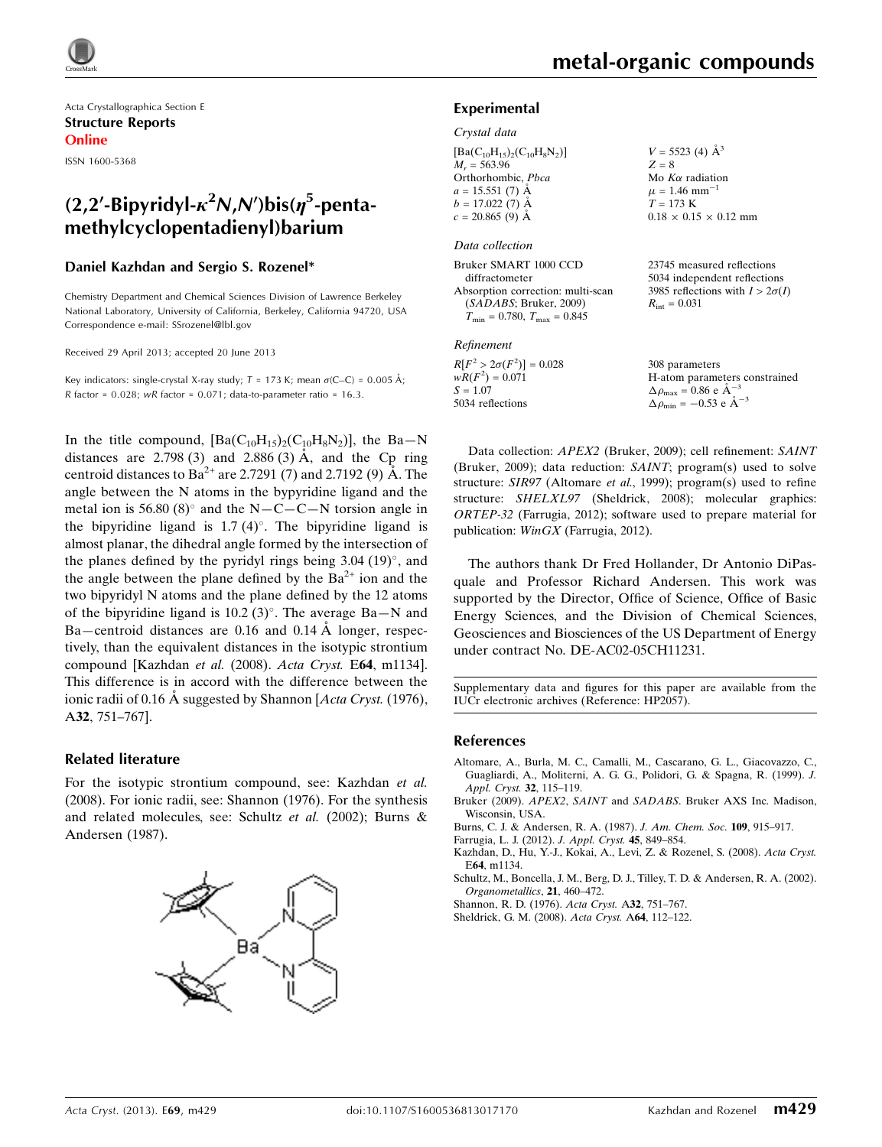Acta Crystallographica Section E Structure Reports Online

ISSN 1600-5368

# (2,2'-Bipyridyl- $\kappa^2 N$ ,N')bis( $\eta^5$ -pentamethylcyclopentadienyl)barium

### Daniel Kazhdan and Sergio S. Rozenel\*

Chemistry Department and Chemical Sciences Division of Lawrence Berkeley National Laboratory, University of California, Berkeley, California 94720, USA Correspondence e-mail: [SSrozenel@lbl.gov](https://scripts.iucr.org/cgi-bin/cr.cgi?rm=pdfbb&cnor=hp2057&bbid=BB8)

Received 29 April 2013; accepted 20 June 2013

Key indicators: single-crystal X-ray study;  $T = 173$  K; mean  $\sigma$ (C–C) = 0.005 Å; R factor =  $0.028$ ; wR factor =  $0.071$ ; data-to-parameter ratio =  $16.3$ .

In the title compound,  $[Ba(C_{10}H_{15})_2(C_{10}H_8N_2)]$ , the Ba–N distances are  $2.798(3)$  and  $2.886(3)$  Å, and the Cp ring centroid distances to Ba<sup>2+</sup> are 2.7291 (7) and 2.7192 (9) Å. The angle between the N atoms in the bypyridine ligand and the metal ion is 56.80 (8) $^{\circ}$  and the N-C-C-N torsion angle in the bipyridine ligand is  $1.7 (4)^\circ$ . The bipyridine ligand is almost planar, the dihedral angle formed by the intersection of the planes defined by the pyridyl rings being  $3.04$  (19) $^{\circ}$ , and the angle between the plane defined by the  $Ba^{2+}$  ion and the two bipyridyl N atoms and the plane defined by the 12 atoms of the bipyridine ligand is 10.2  $(3)^\circ$ . The average Ba-N and Ba—centroid distances are  $0.16$  and  $0.14 \text{ Å}$  longer, respectively, than the equivalent distances in the isotypic strontium compound [Kazhdan et al. (2008). Acta Cryst. E64, m1134]. This difference is in accord with the difference between the ionic radii of 0.16 A suggested by Shannon [Acta Cryst. (1976), A32, 751–767].

### Related literature

For the isotypic strontium compound, see: Kazhdan et al. (2008). For ionic radii, see: Shannon (1976). For the synthesis and related molecules, see: Schultz et al. (2002); Burns & Andersen (1987).



 $V = 5523$  (4)  $\AA^3$ 

### Experimental

### Crystal data

| $[Ba(C_{10}H_{15})_{2}(C_{10}H_{8}N_{2})]$ |
|--------------------------------------------|
| $M_r = 563.96$                             |
| Orthorhombic, Pbca                         |
| $a = 15.551(7)$ Å                          |
| $b = 17.022(7)$ Å                          |
| $c = 20.865(9)$ Å                          |
|                                            |

### Data collection

| Bruker SMART 1000 CCD                | 2 |
|--------------------------------------|---|
| diffractometer                       | 5 |
| Absorption correction: multi-scan    | ٩ |
| (SADABS; Bruker, 2009)               |   |
| $T_{\min} = 0.780, T_{\max} = 0.845$ |   |

#### Refinement

 $R[F^2 > 2\sigma(F^2)] = 0.028$  $wR(F^2) = 0.071$  $S = 1.07$ 5034 reflections

 $Z = 8$ Mo  $K\alpha$  radiation  $\mu$  = 1.46 mm<sup>-1</sup>  $T = 173 K$  $0.18 \times 0.15 \times 0.12$  mm

23745 measured reflections 5034 independent reflections 3985 reflections with  $I > 2\sigma(I)$  $R_{\text{int}} = 0.031$ 

308 parameters H-atom parameters constrained  $\Delta \rho_{\text{max}} = 0.86 \text{ e A}^{-3}$  $\Delta \rho_{\text{min}} = -0.53$  e  $\AA^{-3}$ 

Data collection: APEX2 (Bruker, 2009); cell refinement: SAINT (Bruker, 2009); data reduction: SAINT; program(s) used to solve structure: SIR97 (Altomare et al., 1999); program(s) used to refine structure: SHELXL97 (Sheldrick, 2008); molecular graphics: ORTEP-32 (Farrugia, 2012); software used to prepare material for publication: WinGX (Farrugia, 2012).

The authors thank Dr Fred Hollander, Dr Antonio DiPasquale and Professor Richard Andersen. This work was supported by the Director, Office of Science, Office of Basic Energy Sciences, and the Division of Chemical Sciences, Geosciences and Biosciences of the US Department of Energy under contract No. DE-AC02-05CH11231.

Supplementary data and figures for this paper are available from the IUCr electronic archives (Reference: HP2057).

### References

- [Altomare, A., Burla, M. C., Camalli, M., Cascarano, G. L., Giacovazzo, C.,](https://scripts.iucr.org/cgi-bin/cr.cgi?rm=pdfbb&cnor=hp2057&bbid=BB1) [Guagliardi, A., Moliterni, A. G. G., Polidori, G. & Spagna, R. \(1999\).](https://scripts.iucr.org/cgi-bin/cr.cgi?rm=pdfbb&cnor=hp2057&bbid=BB1) J. [Appl. Cryst.](https://scripts.iucr.org/cgi-bin/cr.cgi?rm=pdfbb&cnor=hp2057&bbid=BB1) 32, 115–119.
- Bruker (2009). APEX2, SAINT and SADABS[. Bruker AXS Inc. Madison,](https://scripts.iucr.org/cgi-bin/cr.cgi?rm=pdfbb&cnor=hp2057&bbid=BB2) [Wisconsin, USA.](https://scripts.iucr.org/cgi-bin/cr.cgi?rm=pdfbb&cnor=hp2057&bbid=BB2)
- [Burns, C. J. & Andersen, R. A. \(1987\).](https://scripts.iucr.org/cgi-bin/cr.cgi?rm=pdfbb&cnor=hp2057&bbid=BB3) J. Am. Chem. Soc. 109, 915–917.
- [Farrugia, L. J. \(2012\).](https://scripts.iucr.org/cgi-bin/cr.cgi?rm=pdfbb&cnor=hp2057&bbid=BB4) J. Appl. Cryst. 45, 849–854.
- [Kazhdan, D., Hu, Y.-J., Kokai, A., Levi, Z. & Rozenel, S. \(2008\).](https://scripts.iucr.org/cgi-bin/cr.cgi?rm=pdfbb&cnor=hp2057&bbid=BB5) Acta Cryst. E64[, m1134.](https://scripts.iucr.org/cgi-bin/cr.cgi?rm=pdfbb&cnor=hp2057&bbid=BB5)
- [Schultz, M., Boncella, J. M., Berg, D. J., Tilley, T. D. & Andersen, R. A. \(2002\).](https://scripts.iucr.org/cgi-bin/cr.cgi?rm=pdfbb&cnor=hp2057&bbid=BB6) [Organometallics](https://scripts.iucr.org/cgi-bin/cr.cgi?rm=pdfbb&cnor=hp2057&bbid=BB6), 21, 460–472.
- [Shannon, R. D. \(1976\).](https://scripts.iucr.org/cgi-bin/cr.cgi?rm=pdfbb&cnor=hp2057&bbid=BB7) Acta Cryst. A32, 751–767.
- [Sheldrick, G. M. \(2008\).](https://scripts.iucr.org/cgi-bin/cr.cgi?rm=pdfbb&cnor=hp2057&bbid=BB8) Acta Cryst. A64, 112–122.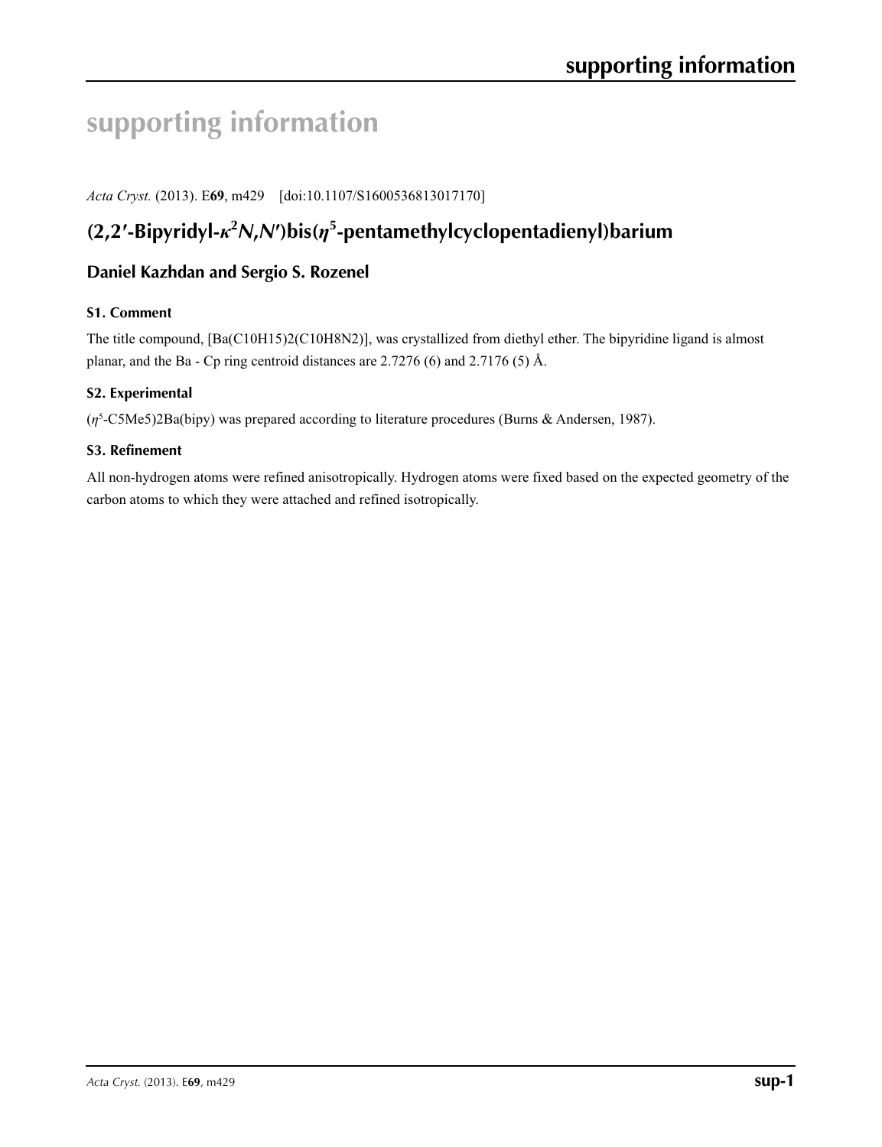# **supporting information**

*Acta Cryst.* (2013). E**69**, m429 [doi:10.1107/S1600536813017170]

# **(2,2′-Bipyridyl-***κ***<sup>2</sup>** *N***,***N***′)bis(***η***<sup>5</sup> -pentamethylcyclopentadienyl)barium**

# **Daniel Kazhdan and Sergio S. Rozenel**

# **S1. Comment**

The title compound, [Ba(C10H15)2(C10H8N2)], was crystallized from diethyl ether. The bipyridine ligand is almost planar, and the Ba - Cp ring centroid distances are 2.7276 (6) and 2.7176 (5) Å.

# **S2. Experimental**

(*η*5 -C5Me5)2Ba(bipy) was prepared according to literature procedures (Burns & Andersen, 1987).

### **S3. Refinement**

All non-hydrogen atoms were refined anisotropically. Hydrogen atoms were fixed based on the expected geometry of the carbon atoms to which they were attached and refined isotropically.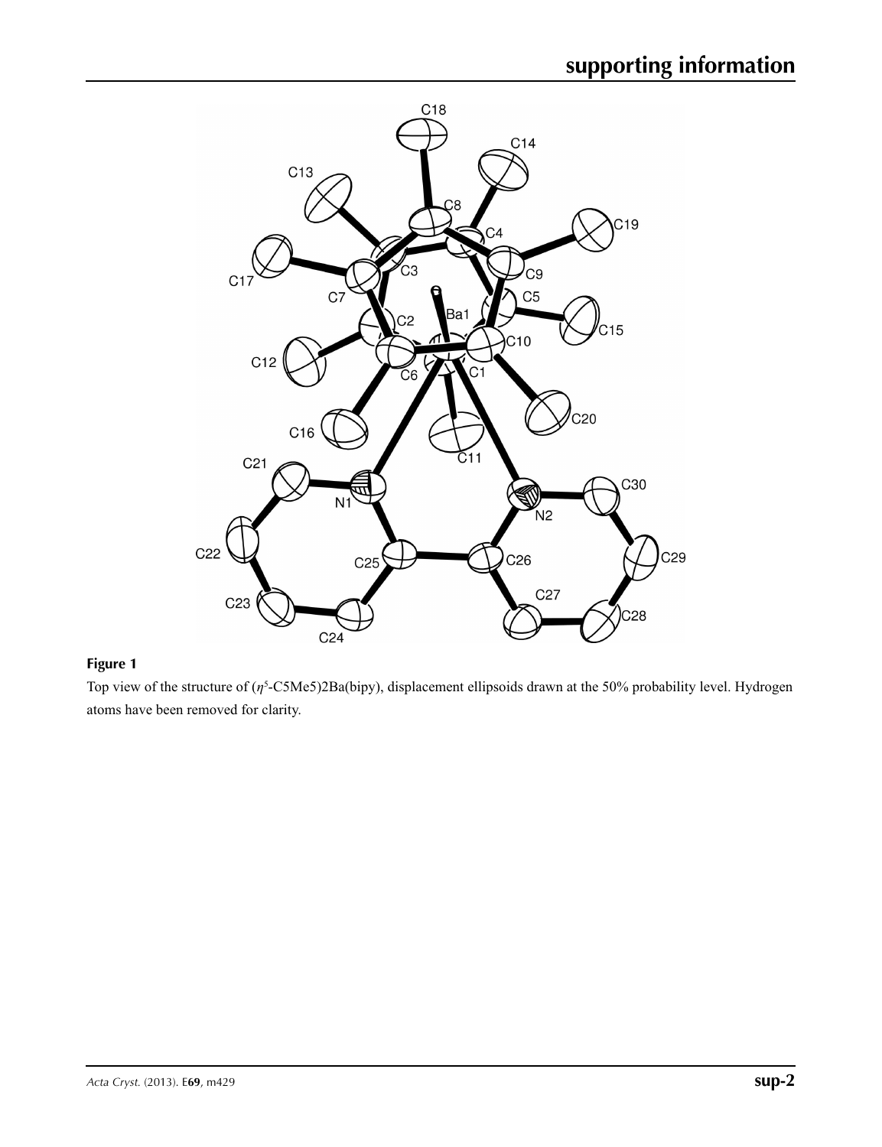

# **Figure 1**

Top view of the structure of (*η*<sup>5</sup> -C5Me5)2Ba(bipy), displacement ellipsoids drawn at the 50% probability level. Hydrogen atoms have been removed for clarity.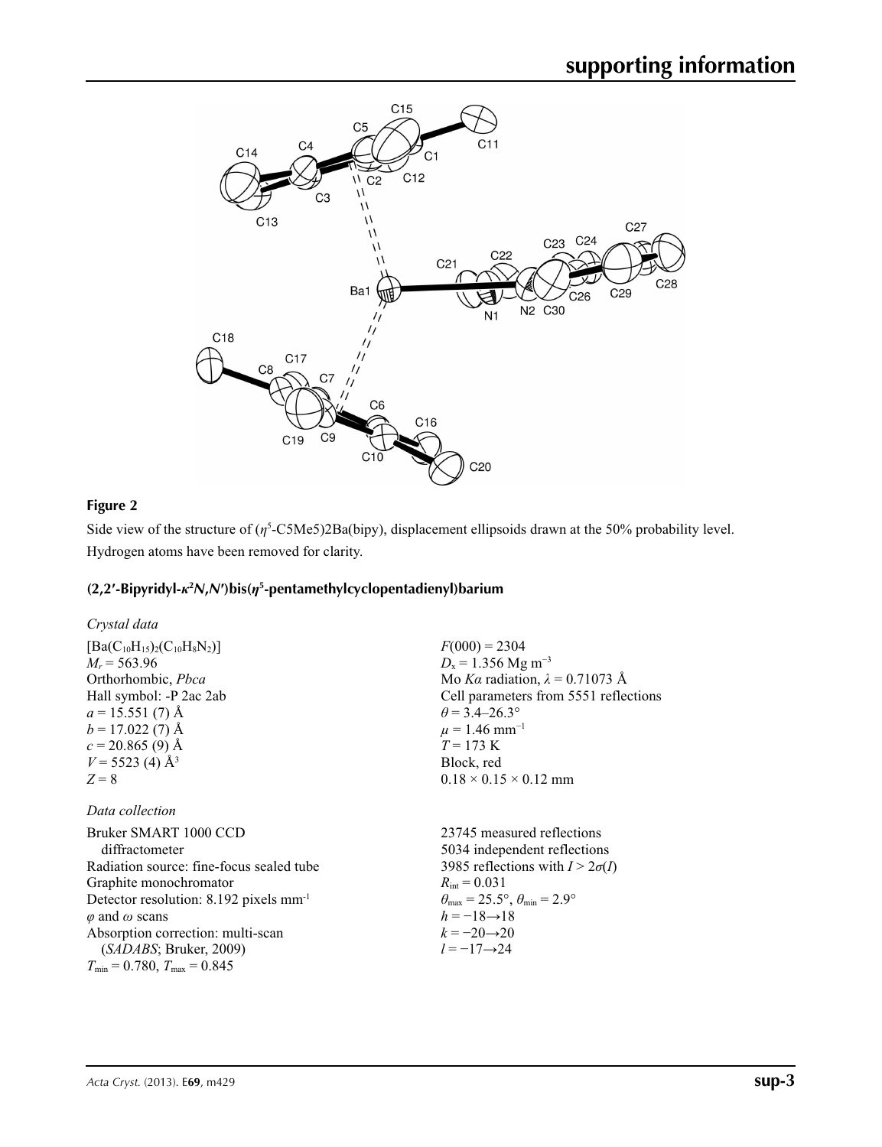

# **Figure 2**

Side view of the structure of  $(\eta^5$ -C5Me5)2Ba(bipy), displacement ellipsoids drawn at the 50% probability level. Hydrogen atoms have been removed for clarity.

# **(2,2′-Bipyridyl-***κ***<sup>2</sup>** *N***,***N***′)bis(***η***<sup>5</sup> -pentamethylcyclopentadienyl)barium**

| Crystal data                                       |                                                       |
|----------------------------------------------------|-------------------------------------------------------|
| $[Ba(C_{10}H_{15})_{2}(C_{10}H_{8}N_{2})]$         | $F(000) = 2304$                                       |
| $M_r = 563.96$                                     | $D_x = 1.356$ Mg m <sup>-3</sup>                      |
| Orthorhombic, <i>Pbca</i>                          | Mo Ka radiation, $\lambda = 0.71073$ Å                |
| Hall symbol: -P 2ac 2ab                            | Cell parameters from 5551 reflections                 |
| $a = 15.551(7)$ Å                                  | $\theta$ = 3.4–26.3°                                  |
| $b = 17.022(7)$ Å                                  | $\mu = 1.46$ mm <sup>-1</sup>                         |
| $c = 20.865(9)$ Å                                  | $T = 173$ K                                           |
| $V = 5523$ (4) Å <sup>3</sup>                      | Block, red                                            |
| $Z = 8$                                            | $0.18 \times 0.15 \times 0.12$ mm                     |
| Data collection                                    |                                                       |
| Bruker SMART 1000 CCD                              | 23745 measured reflections                            |
| diffractometer                                     | 5034 independent reflections                          |
| Radiation source: fine-focus sealed tube           | 3985 reflections with $I > 2\sigma(I)$                |
| Graphite monochromator                             | $R_{\text{int}} = 0.031$                              |
| Detector resolution: 8.192 pixels mm <sup>-1</sup> | $\theta_{\rm max}$ = 25.5°, $\theta_{\rm min}$ = 2.9° |
| $\varphi$ and $\omega$ scans                       | $h = -18 \rightarrow 18$                              |
| Absorption correction: multi-scan                  | $k = -20 \rightarrow 20$                              |

 $k = -20 \rightarrow 20$ *l* = −17→24

(*SADABS*; Bruker, 2009)  $T_{\text{min}} = 0.780, T_{\text{max}} = 0.845$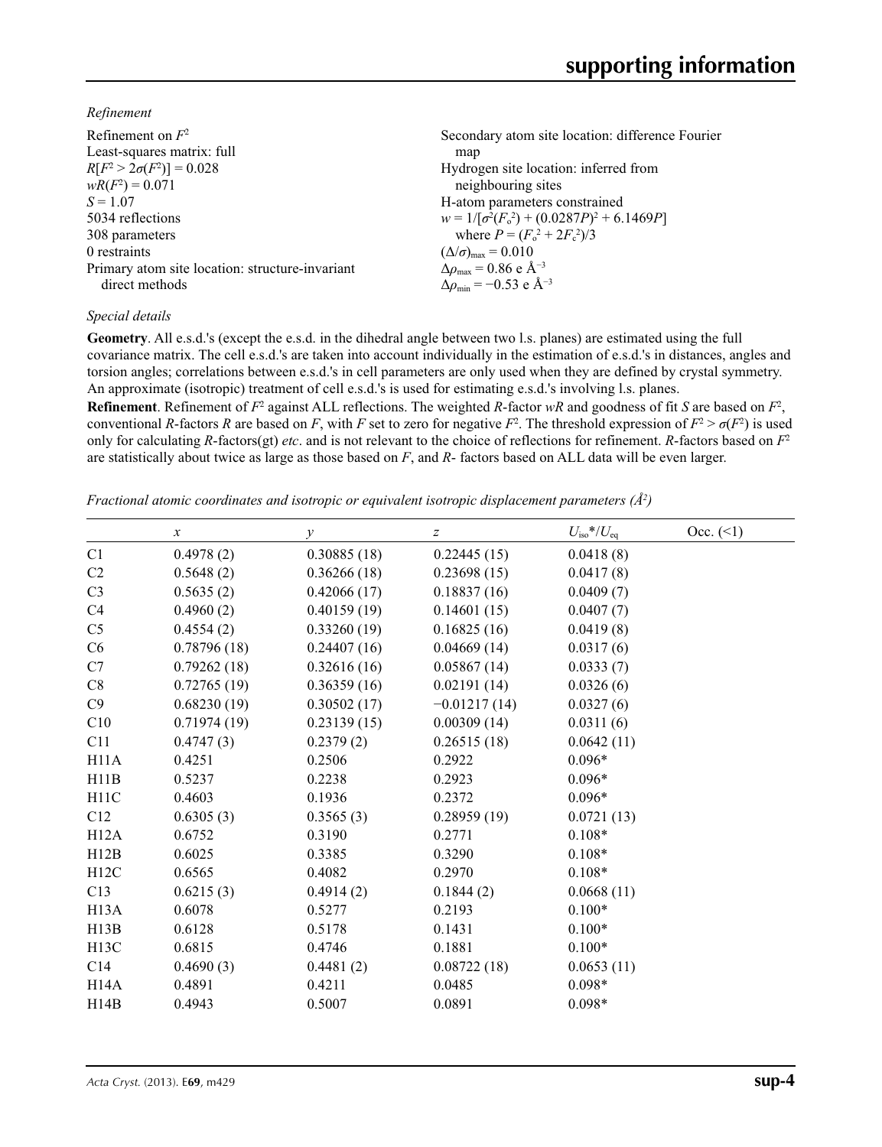*Refinement*

| Refinement on $F^2$                             | Secondary atom site location: difference Fourier  |
|-------------------------------------------------|---------------------------------------------------|
| Least-squares matrix: full                      | map                                               |
| $R[F^2 > 2\sigma(F^2)] = 0.028$                 | Hydrogen site location: inferred from             |
| $wR(F^2) = 0.071$                               | neighbouring sites                                |
| $S = 1.07$                                      | H-atom parameters constrained                     |
| 5034 reflections                                | $w = 1/[\sigma^2(F_0^2) + (0.0287P)^2 + 6.1469P]$ |
| 308 parameters                                  | where $P = (F_o^2 + 2F_c^2)/3$                    |
| 0 restraints                                    | $(\Delta/\sigma)_{\text{max}} = 0.010$            |
| Primary atom site location: structure-invariant | $\Delta\rho_{\rm max}$ = 0.86 e Å <sup>-3</sup>   |
| direct methods                                  | $\Delta \rho_{\rm min} = -0.53$ e Å <sup>-3</sup> |
|                                                 |                                                   |

### *Special details*

**Geometry**. All e.s.d.'s (except the e.s.d. in the dihedral angle between two l.s. planes) are estimated using the full covariance matrix. The cell e.s.d.'s are taken into account individually in the estimation of e.s.d.'s in distances, angles and torsion angles; correlations between e.s.d.'s in cell parameters are only used when they are defined by crystal symmetry. An approximate (isotropic) treatment of cell e.s.d.'s is used for estimating e.s.d.'s involving l.s. planes.

**Refinement**. Refinement of  $F^2$  against ALL reflections. The weighted R-factor wR and goodness of fit *S* are based on  $F^2$ , conventional *R*-factors *R* are based on *F*, with *F* set to zero for negative  $F^2$ . The threshold expression of  $F^2 > \sigma(F^2)$  is used only for calculating *R*-factors(gt) *etc*. and is not relevant to the choice of reflections for refinement. *R*-factors based on *F*<sup>2</sup> are statistically about twice as large as those based on *F*, and *R*- factors based on ALL data will be even larger.

*Fractional atomic coordinates and isotropic or equivalent isotropic displacement parameters (Å2 )*

|                | $\boldsymbol{\chi}$ | $\mathcal V$ | z              | $U_{\rm iso}*/U_{\rm eq}$ | Occ. (2) |
|----------------|---------------------|--------------|----------------|---------------------------|----------|
| C1             | 0.4978(2)           | 0.30885(18)  | 0.22445(15)    | 0.0418(8)                 |          |
| C2             | 0.5648(2)           | 0.36266(18)  | 0.23698(15)    | 0.0417(8)                 |          |
| C <sub>3</sub> | 0.5635(2)           | 0.42066(17)  | 0.18837(16)    | 0.0409(7)                 |          |
| C <sub>4</sub> | 0.4960(2)           | 0.40159(19)  | 0.14601(15)    | 0.0407(7)                 |          |
| C <sub>5</sub> | 0.4554(2)           | 0.33260(19)  | 0.16825(16)    | 0.0419(8)                 |          |
| C6             | 0.78796(18)         | 0.24407(16)  | 0.04669(14)    | 0.0317(6)                 |          |
| C7             | 0.79262(18)         | 0.32616(16)  | 0.05867(14)    | 0.0333(7)                 |          |
| C8             | 0.72765(19)         | 0.36359(16)  | 0.02191(14)    | 0.0326(6)                 |          |
| C9             | 0.68230(19)         | 0.30502(17)  | $-0.01217(14)$ | 0.0327(6)                 |          |
| C10            | 0.71974(19)         | 0.23139(15)  | 0.00309(14)    | 0.0311(6)                 |          |
| C11            | 0.4747(3)           | 0.2379(2)    | 0.26515(18)    | 0.0642(11)                |          |
| H11A           | 0.4251              | 0.2506       | 0.2922         | $0.096*$                  |          |
| H11B           | 0.5237              | 0.2238       | 0.2923         | $0.096*$                  |          |
| H11C           | 0.4603              | 0.1936       | 0.2372         | $0.096*$                  |          |
| C12            | 0.6305(3)           | 0.3565(3)    | 0.28959(19)    | 0.0721(13)                |          |
| H12A           | 0.6752              | 0.3190       | 0.2771         | $0.108*$                  |          |
| H12B           | 0.6025              | 0.3385       | 0.3290         | $0.108*$                  |          |
| H12C           | 0.6565              | 0.4082       | 0.2970         | $0.108*$                  |          |
| C13            | 0.6215(3)           | 0.4914(2)    | 0.1844(2)      | 0.0668(11)                |          |
| H13A           | 0.6078              | 0.5277       | 0.2193         | $0.100*$                  |          |
| H13B           | 0.6128              | 0.5178       | 0.1431         | $0.100*$                  |          |
| H13C           | 0.6815              | 0.4746       | 0.1881         | $0.100*$                  |          |
| C14            | 0.4690(3)           | 0.4481(2)    | 0.08722(18)    | 0.0653(11)                |          |
| H14A           | 0.4891              | 0.4211       | 0.0485         | $0.098*$                  |          |
| H14B           | 0.4943              | 0.5007       | 0.0891         | $0.098*$                  |          |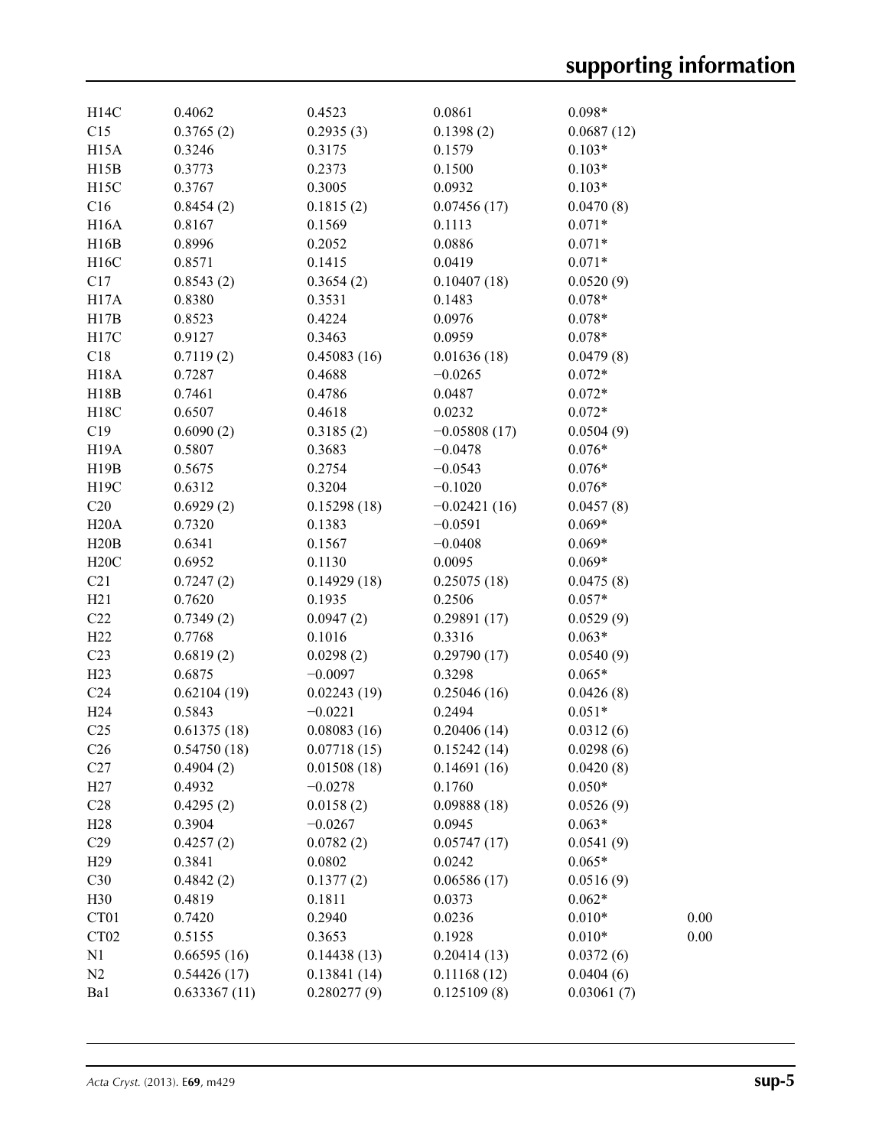| H14C              | 0.4062       | 0.4523      | 0.0861         | $0.098*$   |      |
|-------------------|--------------|-------------|----------------|------------|------|
| C15               | 0.3765(2)    | 0.2935(3)   | 0.1398(2)      | 0.0687(12) |      |
| H <sub>15</sub> A | 0.3246       | 0.3175      | 0.1579         | $0.103*$   |      |
| H15B              | 0.3773       | 0.2373      | 0.1500         | $0.103*$   |      |
| H <sub>15</sub> C | 0.3767       | 0.3005      | 0.0932         | $0.103*$   |      |
| C16               | 0.8454(2)    | 0.1815(2)   | 0.07456(17)    | 0.0470(8)  |      |
| <b>H16A</b>       | 0.8167       | 0.1569      | 0.1113         | $0.071*$   |      |
| H16B              | 0.8996       | 0.2052      | 0.0886         | $0.071*$   |      |
| H16C              | 0.8571       | 0.1415      | 0.0419         | $0.071*$   |      |
| C17               | 0.8543(2)    | 0.3654(2)   | 0.10407(18)    | 0.0520(9)  |      |
| H17A              | 0.8380       | 0.3531      | 0.1483         | $0.078*$   |      |
| H17B              | 0.8523       | 0.4224      | 0.0976         | $0.078*$   |      |
| H17C              | 0.9127       | 0.3463      | 0.0959         | $0.078*$   |      |
| C18               | 0.7119(2)    | 0.45083(16) | 0.01636(18)    | 0.0479(8)  |      |
| <b>H18A</b>       | 0.7287       | 0.4688      | $-0.0265$      | $0.072*$   |      |
| H18B              | 0.7461       | 0.4786      | 0.0487         | $0.072*$   |      |
| H18C              | 0.6507       | 0.4618      | 0.0232         | $0.072*$   |      |
| C19               | 0.6090(2)    | 0.3185(2)   | $-0.05808(17)$ | 0.0504(9)  |      |
| H <sub>19</sub> A | 0.5807       | 0.3683      | $-0.0478$      | $0.076*$   |      |
| H19B              | 0.5675       | 0.2754      | $-0.0543$      | $0.076*$   |      |
| H19C              | 0.6312       | 0.3204      | $-0.1020$      | $0.076*$   |      |
| C20               | 0.6929(2)    | 0.15298(18) | $-0.02421(16)$ | 0.0457(8)  |      |
| H20A              | 0.7320       | 0.1383      | $-0.0591$      | $0.069*$   |      |
| H20B              | 0.6341       | 0.1567      | $-0.0408$      | $0.069*$   |      |
| H20C              | 0.6952       | 0.1130      | 0.0095         | $0.069*$   |      |
| C21               | 0.7247(2)    | 0.14929(18) | 0.25075(18)    | 0.0475(8)  |      |
| H21               | 0.7620       | 0.1935      | 0.2506         | $0.057*$   |      |
| C22               | 0.7349(2)    | 0.0947(2)   | 0.29891(17)    | 0.0529(9)  |      |
| H22               | 0.7768       | 0.1016      | 0.3316         | $0.063*$   |      |
| C <sub>23</sub>   | 0.6819(2)    | 0.0298(2)   | 0.29790(17)    | 0.0540(9)  |      |
| H23               | 0.6875       | $-0.0097$   | 0.3298         | $0.065*$   |      |
| C <sub>24</sub>   | 0.62104(19)  | 0.02243(19) | 0.25046(16)    | 0.0426(8)  |      |
| H24               | 0.5843       | $-0.0221$   | 0.2494         | $0.051*$   |      |
| C <sub>25</sub>   | 0.61375(18)  | 0.08083(16) | 0.20406(14)    | 0.0312(6)  |      |
| C <sub>26</sub>   | 0.54750(18)  | 0.07718(15) | 0.15242(14)    | 0.0298(6)  |      |
| C27               | 0.4904(2)    | 0.01508(18) | 0.14691(16)    | 0.0420(8)  |      |
| H27               | 0.4932       | $-0.0278$   | 0.1760         | $0.050*$   |      |
| C28               | 0.4295(2)    | 0.0158(2)   | 0.09888(18)    | 0.0526(9)  |      |
| H28               | 0.3904       | $-0.0267$   | 0.0945         | $0.063*$   |      |
| C <sub>29</sub>   | 0.4257(2)    | 0.0782(2)   | 0.05747(17)    | 0.0541(9)  |      |
| H <sub>29</sub>   | 0.3841       | 0.0802      | 0.0242         | $0.065*$   |      |
| C30               | 0.4842(2)    | 0.1377(2)   | 0.06586(17)    | 0.0516(9)  |      |
| H30               | 0.4819       | 0.1811      | 0.0373         | $0.062*$   |      |
| CT <sub>01</sub>  | 0.7420       | 0.2940      | 0.0236         | $0.010*$   | 0.00 |
| CT <sub>02</sub>  | 0.5155       | 0.3653      | 0.1928         | $0.010*$   | 0.00 |
| N1                | 0.66595(16)  | 0.14438(13) | 0.20414(13)    | 0.0372(6)  |      |
| N2                | 0.54426(17)  | 0.13841(14) | 0.11168(12)    | 0.0404(6)  |      |
| Ba1               | 0.633367(11) | 0.280277(9) | 0.125109(8)    | 0.03061(7) |      |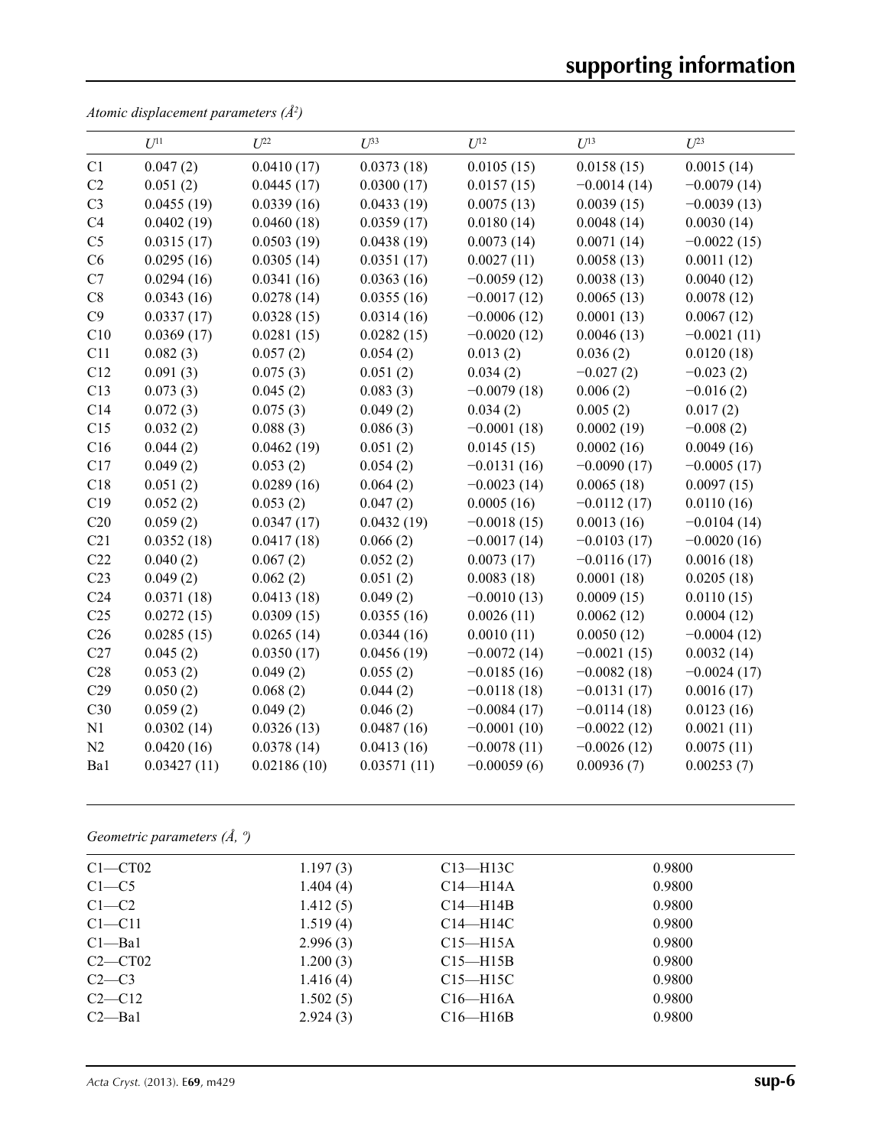*Atomic displacement parameters (Å2 )*

|                 | $U^{11}$    | $U^{22}$    | $U^{33}$    | $U^{12}$      | $U^{13}$      | $U^{23}$      |
|-----------------|-------------|-------------|-------------|---------------|---------------|---------------|
| C1              | 0.047(2)    | 0.0410(17)  | 0.0373(18)  | 0.0105(15)    | 0.0158(15)    | 0.0015(14)    |
| C2              | 0.051(2)    | 0.0445(17)  | 0.0300(17)  | 0.0157(15)    | $-0.0014(14)$ | $-0.0079(14)$ |
| C <sub>3</sub>  | 0.0455(19)  | 0.0339(16)  | 0.0433(19)  | 0.0075(13)    | 0.0039(15)    | $-0.0039(13)$ |
| C4              | 0.0402(19)  | 0.0460(18)  | 0.0359(17)  | 0.0180(14)    | 0.0048(14)    | 0.0030(14)    |
| C <sub>5</sub>  | 0.0315(17)  | 0.0503(19)  | 0.0438(19)  | 0.0073(14)    | 0.0071(14)    | $-0.0022(15)$ |
| C6              | 0.0295(16)  | 0.0305(14)  | 0.0351(17)  | 0.0027(11)    | 0.0058(13)    | 0.0011(12)    |
| C7              | 0.0294(16)  | 0.0341(16)  | 0.0363(16)  | $-0.0059(12)$ | 0.0038(13)    | 0.0040(12)    |
| C8              | 0.0343(16)  | 0.0278(14)  | 0.0355(16)  | $-0.0017(12)$ | 0.0065(13)    | 0.0078(12)    |
| C9              | 0.0337(17)  | 0.0328(15)  | 0.0314(16)  | $-0.0006(12)$ | 0.0001(13)    | 0.0067(12)    |
| C10             | 0.0369(17)  | 0.0281(15)  | 0.0282(15)  | $-0.0020(12)$ | 0.0046(13)    | $-0.0021(11)$ |
| C11             | 0.082(3)    | 0.057(2)    | 0.054(2)    | 0.013(2)      | 0.036(2)      | 0.0120(18)    |
| C12             | 0.091(3)    | 0.075(3)    | 0.051(2)    | 0.034(2)      | $-0.027(2)$   | $-0.023(2)$   |
| C13             | 0.073(3)    | 0.045(2)    | 0.083(3)    | $-0.0079(18)$ | 0.006(2)      | $-0.016(2)$   |
| C14             | 0.072(3)    | 0.075(3)    | 0.049(2)    | 0.034(2)      | 0.005(2)      | 0.017(2)      |
| C15             | 0.032(2)    | 0.088(3)    | 0.086(3)    | $-0.0001(18)$ | 0.0002(19)    | $-0.008(2)$   |
| C16             | 0.044(2)    | 0.0462(19)  | 0.051(2)    | 0.0145(15)    | 0.0002(16)    | 0.0049(16)    |
| C17             | 0.049(2)    | 0.053(2)    | 0.054(2)    | $-0.0131(16)$ | $-0.0090(17)$ | $-0.0005(17)$ |
| C18             | 0.051(2)    | 0.0289(16)  | 0.064(2)    | $-0.0023(14)$ | 0.0065(18)    | 0.0097(15)    |
| C19             | 0.052(2)    | 0.053(2)    | 0.047(2)    | 0.0005(16)    | $-0.0112(17)$ | 0.0110(16)    |
| C20             | 0.059(2)    | 0.0347(17)  | 0.0432(19)  | $-0.0018(15)$ | 0.0013(16)    | $-0.0104(14)$ |
| C21             | 0.0352(18)  | 0.0417(18)  | 0.066(2)    | $-0.0017(14)$ | $-0.0103(17)$ | $-0.0020(16)$ |
| C22             | 0.040(2)    | 0.067(2)    | 0.052(2)    | 0.0073(17)    | $-0.0116(17)$ | 0.0016(18)    |
| C <sub>23</sub> | 0.049(2)    | 0.062(2)    | 0.051(2)    | 0.0083(18)    | 0.0001(18)    | 0.0205(18)    |
| C <sub>24</sub> | 0.0371(18)  | 0.0413(18)  | 0.049(2)    | $-0.0010(13)$ | 0.0009(15)    | 0.0110(15)    |
| C <sub>25</sub> | 0.0272(15)  | 0.0309(15)  | 0.0355(16)  | 0.0026(11)    | 0.0062(12)    | 0.0004(12)    |
| C <sub>26</sub> | 0.0285(15)  | 0.0265(14)  | 0.0344(16)  | 0.0010(11)    | 0.0050(12)    | $-0.0004(12)$ |
| C27             | 0.045(2)    | 0.0350(17)  | 0.0456(19)  | $-0.0072(14)$ | $-0.0021(15)$ | 0.0032(14)    |
| C28             | 0.053(2)    | 0.049(2)    | 0.055(2)    | $-0.0185(16)$ | $-0.0082(18)$ | $-0.0024(17)$ |
| C29             | 0.050(2)    | 0.068(2)    | 0.044(2)    | $-0.0118(18)$ | $-0.0131(17)$ | 0.0016(17)    |
| C30             | 0.059(2)    | 0.049(2)    | 0.046(2)    | $-0.0084(17)$ | $-0.0114(18)$ | 0.0123(16)    |
| N1              | 0.0302(14)  | 0.0326(13)  | 0.0487(16)  | $-0.0001(10)$ | $-0.0022(12)$ | 0.0021(11)    |
| N2              | 0.0420(16)  | 0.0378(14)  | 0.0413(16)  | $-0.0078(11)$ | $-0.0026(12)$ | 0.0075(11)    |
| Ba1             | 0.03427(11) | 0.02186(10) | 0.03571(11) | $-0.00059(6)$ | 0.00936(7)    | 0.00253(7)    |

*Geometric parameters (Å, º)*

| $C1 - CT02$ | 1.197(3) | $C13$ —H13C    | 0.9800 |  |
|-------------|----------|----------------|--------|--|
| $C1 - C5$   | 1.404(4) | $C14 - H14A$   | 0.9800 |  |
| $C1-C2$     | 1.412(5) | $C14 - H14B$   | 0.9800 |  |
| $C1 - C11$  | 1.519(4) | $C14 - H14C$   | 0.9800 |  |
| $Cl$ —Bal   | 2.996(3) | $C15 - H15A$   | 0.9800 |  |
| $C2-CT02$   | 1.200(3) | $C15$ —H $15B$ | 0.9800 |  |
| $C2-C3$     | 1.416(4) | $C15 - H15C$   | 0.9800 |  |
| $C2-C12$    | 1.502(5) | $C16 - H16A$   | 0.9800 |  |
| $C2 - Ba1$  | 2.924(3) | $C16$ —H $16B$ | 0.9800 |  |
|             |          |                |        |  |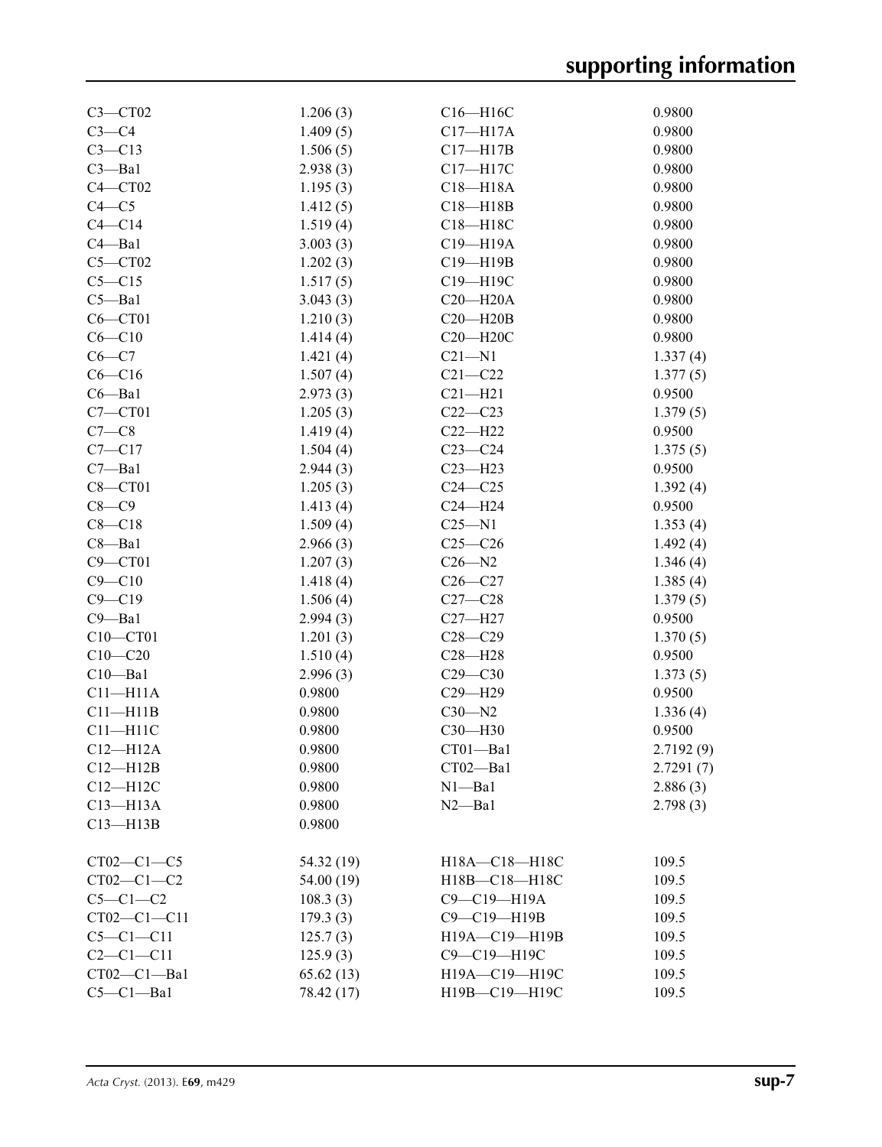| $C3 - CT02$     | 1.206(3)             | $C16 - H16C$  | 0.9800    |
|-----------------|----------------------|---------------|-----------|
| $C3-C4$         | 1.409(5)             | $C17 - H17A$  | 0.9800    |
| $C3 - C13$      | 1.506(5)             | $C17 - H17B$  | 0.9800    |
| $C3 - Ba1$      | 2.938(3)             | C17-H17C      | 0.9800    |
| $C4 - CT02$     | 1.195(3)             | $C18 - H18A$  | 0.9800    |
| $C4 - C5$       | 1.412(5)             | $C18 - H18B$  | 0.9800    |
| $C4 - C14$      | 1.519(4)             | C18-H18C      | 0.9800    |
| $C4 - Ba1$      | 3.003(3)             | C19-H19A      | 0.9800    |
| $C5 - C T02$    | 1.202(3)             | C19-H19B      | 0.9800    |
| $C5 - C15$      | 1.517(5)             | C19-H19C      | 0.9800    |
| $C5 - Ba1$      | 3.043(3)             | $C20 - H20A$  | 0.9800    |
| $C6 - C T 01$   | 1.210(3)             | $C20 - H20B$  | 0.9800    |
| $C6 - C10$      | 1.414(4)             | $C20 - H20C$  | 0.9800    |
| $C6-C7$         | 1.421(4)             | $C21 - N1$    | 1.337(4)  |
| $C6-C16$        | 1.507(4)             | $C21 - C22$   | 1.377(5)  |
| $C6 - Ba1$      | 2.973(3)             | $C21 - H21$   | 0.9500    |
| $C7 - C T01$    | 1.205(3)             | $C22-C23$     | 1.379(5)  |
| $C7-C8$         | 1.419(4)             | $C22 - H22$   | 0.9500    |
| $C7 - C17$      | 1.504(4)             | $C23-C24$     | 1.375(5)  |
| $C7 - Ba1$      | 2.944(3)             | $C23 - H23$   | 0.9500    |
| $C8 - C$ T01    | 1.205(3)             | $C24 - C25$   |           |
| $C8 - C9$       |                      | $C24 - H24$   | 1.392(4)  |
| $C8 - C18$      | 1.413(4)<br>1.509(4) | $C25 - N1$    | 0.9500    |
| $C8 - Ba1$      |                      |               | 1.353(4)  |
|                 | 2.966(3)             | $C25-C26$     | 1.492(4)  |
| $C9 - C T01$    | 1.207(3)             | $C26 - N2$    | 1.346(4)  |
| $C9 - C10$      | 1.418(4)             | $C26-C27$     | 1.385(4)  |
| $C9 - C19$      | 1.506(4)             | $C27-C28$     | 1.379(5)  |
| $C9 - Ba1$      | 2.994(3)             | $C27 - H27$   | 0.9500    |
| C10-CT01        | 1.201(3)             | $C28 - C29$   | 1.370(5)  |
| $C10 - C20$     | 1.510(4)             | $C28 - H28$   | 0.9500    |
| $C10 - Ba1$     | 2.996(3)             | $C29 - C30$   | 1.373(5)  |
| $C11 - H11A$    | 0.9800               | C29-H29       | 0.9500    |
| $C11 - H11B$    | 0.9800               | $C30 - N2$    | 1.336(4)  |
| $C11 - H11C$    | 0.9800               | C30-H30       | 0.9500    |
| $C12 - H12A$    | 0.9800               | CT01-Bal      | 2.7192(9) |
| $C12-H12B$      | 0.9800               | CT02—Ba1      | 2.7291(7) |
| $C12 - H12C$    | 0.9800               | $N1 - Ba1$    | 2.886(3)  |
| $C13 - H13A$    | 0.9800               | $N2 - Ba1$    | 2.798(3)  |
| $C13 - H13B$    | 0.9800               |               |           |
| $CT02-C1-C5$    | 54.32 (19)           | H18A-C18-H18C | 109.5     |
| $CT02-C1-C2$    | 54.00 (19)           | H18B-C18-H18C | 109.5     |
| $C5-C1-C2$      | 108.3(3)             | C9-C19-H19A   | 109.5     |
| $CT02-C1-C11$   | 179.3(3)             | C9-C19-H19B   | 109.5     |
| $C5-C1-C11$     | 125.7(3)             | H19A-C19-H19B | 109.5     |
| $C2 - C1 - C11$ | 125.9(3)             | C9-C19-H19C   | 109.5     |
| $CT02-C1-Ba1$   | 65.62(13)            | Н19А-С19-Н19С | 109.5     |
| $C5-C1-Ba1$     | 78.42 (17)           | H19B-C19-H19C | 109.5     |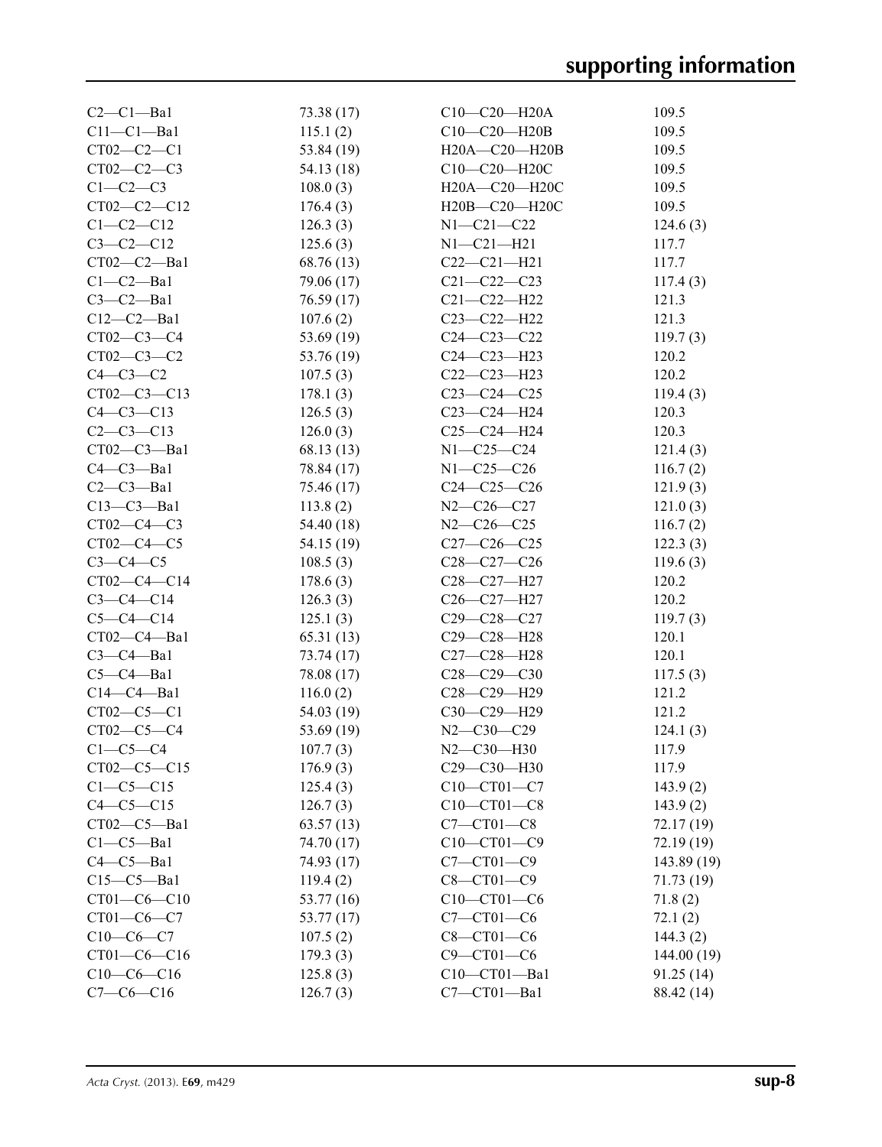| $C2-C1-Ba1$     | 73.38 (17)   | $C10-C20-H20A$     | 109.5       |
|-----------------|--------------|--------------------|-------------|
| $C11-C1-Ba1$    | 115.1(2)     | $C10-C20-H20B$     | 109.5       |
| $CT02-C2-C1$    | 53.84 (19)   | H20A-C20-H20B      | 109.5       |
| $CT02-C2-C3$    | 54.13 (18)   | C10-C20-H20C       | 109.5       |
| $C1-C2-C3$      | 108.0(3)     | H20A-C20-H20C      | 109.5       |
| $CT02-C2-C12$   | 176.4(3)     | H20B-C20-H20C      | 109.5       |
| $C1-C2-C12$     | 126.3(3)     | $N1 - C21 - C22$   | 124.6(3)    |
| $C3-C2-C12$     | 125.6(3)     | $N1 - C21 - H21$   | 117.7       |
| $CT02-C2—Ba1$   | 68.76 (13)   | $C22-C21-H21$      | 117.7       |
| $C1-C2-Ba1$     | 79.06 (17)   | $C21 - C22 - C23$  | 117.4(3)    |
| $C3-C2-Ba1$     | 76.59(17)    | $C21 - C22 - H22$  | 121.3       |
| $C12-C2-Ba1$    | 107.6(2)     | $C23 - C22 - H22$  | 121.3       |
| $CT02-C3-C4$    | 53.69 $(19)$ | $C24 - C23 - C22$  | 119.7(3)    |
| $CT02-C3-C2$    | 53.76 (19)   | $C24 - C23 - H23$  | 120.2       |
| $C4-C3-C2$      | 107.5(3)     | $C22-C23-H23$      | 120.2       |
| CT02-C3-C13     | 178.1(3)     | $C23-C24-C25$      | 119.4(3)    |
| $C4 - C3 - C13$ | 126.5(3)     | $C23-C24-H24$      | 120.3       |
| $C2-C3-C13$     | 126.0(3)     | $C25-C24-H24$      | 120.3       |
| CT02-C3-Ba1     | 68.13 (13)   | N1-C25-C24         | 121.4(3)    |
| $C4-C3-Ba1$     | 78.84 (17)   | $N1 - C25 - C26$   | 116.7(2)    |
| $C2-C3$ -Bal    | 75.46 (17)   | $C24 - C25 - C26$  | 121.9(3)    |
| $C13-C3-Ba1$    | 113.8(2)     | $N2-C26-C27$       | 121.0(3)    |
| $CT02-C4-C3$    | 54.40 (18)   | $N2 - C26 - C25$   | 116.7(2)    |
| $CT02-C4-C5$    | 54.15 (19)   | $C27-C26-C25$      | 122.3(3)    |
| $C3-C4-C5$      | 108.5(3)     | $C28 - C27 - C26$  | 119.6(3)    |
| CT02-C4-C14     | 178.6(3)     | C28-C27-H27        | 120.2       |
| $C3-C4-C14$     | 126.3(3)     | C26-C27-H27        | 120.2       |
| $C5-C4-C14$     | 125.1(3)     | $C29 - C28 - C27$  | 119.7(3)    |
| $CT02-C4-Ba1$   | 65.31(13)    | C29-C28-H28        | 120.1       |
| $C3-C4-Ba1$     | 73.74 (17)   | C27-C28-H28        | 120.1       |
| $C5-C4-Ba1$     | 78.08 (17)   | $C28 - C29 - C30$  | 117.5(3)    |
| $C14-C4-Ba1$    | 116.0(2)     | C28-C29-H29        | 121.2       |
| $CT02-C5-C1$    | 54.03 (19)   | C30-C29-H29        | 121.2       |
| $CT02-C5-C4$    | 53.69 (19)   | $N2 - C30 - C29$   | 124.1(3)    |
| $C1-C5-C4$      | 107.7(3)     | $N2 - C30 - H30$   | 117.9       |
| $CT02-C5-C15$   | 176.9(3)     | $C29 - C30 - H30$  | 117.9       |
| $C1-C5-C15$     | 125.4(3)     | $C10-CT01-C7$      | 143.9(2)    |
| $C4-C5-C15$     | 126.7(3)     | $C10 - C T01 - C8$ | 143.9(2)    |
| $CT02-C5-Ba1$   | 63.57(13)    | $C7-CT01-C8$       | 72.17(19)   |
| $C1-C5-Ba1$     | 74.70 (17)   | $C10 - C101 - C9$  | 72.19(19)   |
| $C4-C5-Ba1$     | 74.93 (17)   | $C7 - C$ T01 $-C9$ | 143.89 (19) |
| $C15-C5-Ba1$    | 119.4(2)     | $C8 - C$ T01 $-C9$ | 71.73 (19)  |
| $CT01-C6-C10$   | 53.77 (16)   | $C10-CT01-C6$      | 71.8(2)     |
| $CT01-C6-C7$    | 53.77 (17)   | $C7-CT01-C6$       | 72.1(2)     |
| $C10-C6-C7$     | 107.5(2)     | $C8 - C$ T01 $-C6$ | 144.3(2)    |
| $CT01-C6-C16$   | 179.3(3)     | $C9 - CT01 - C6$   | 144.00(19)  |
| $C10-C6-C16$    | 125.8(3)     | C10-CT01-Ba1       | 91.25(14)   |
| $C7-C6-C16$     | 126.7(3)     | $C7 - C T01 - Ba1$ | 88.42 (14)  |
|                 |              |                    |             |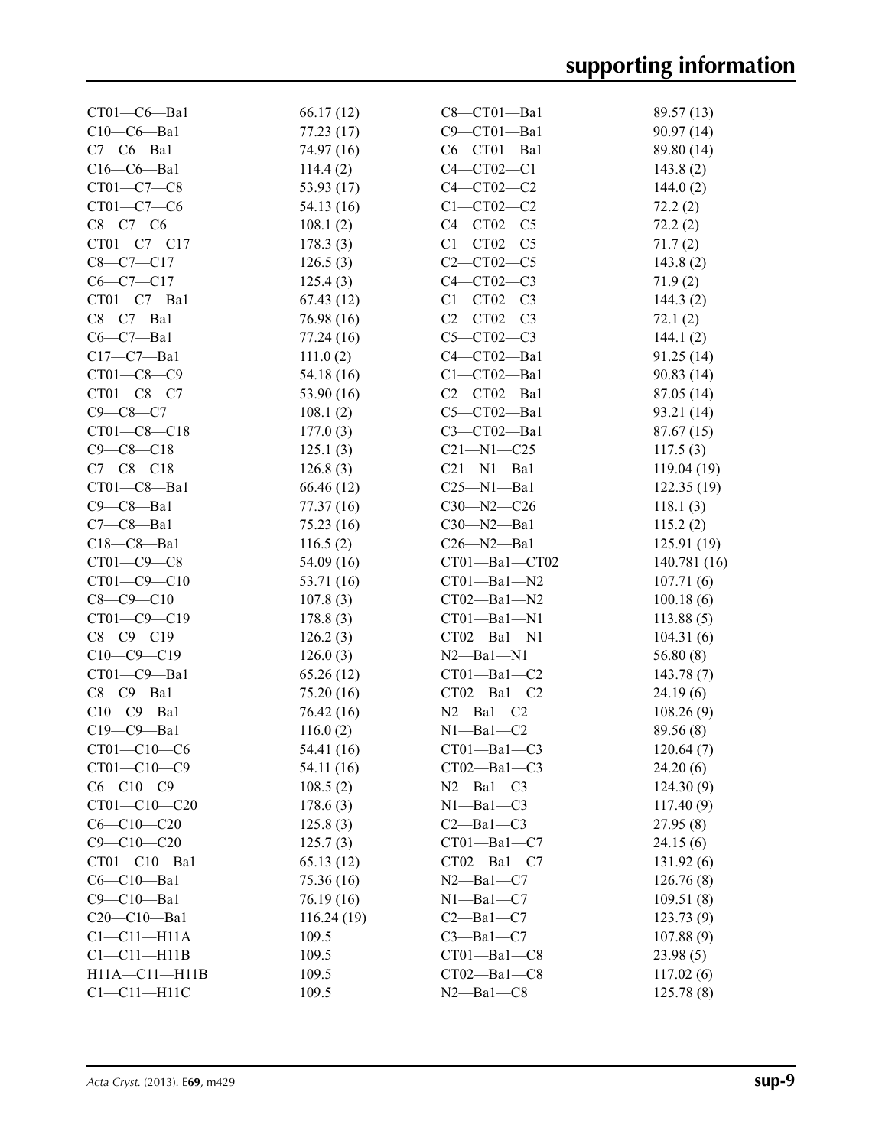| $CT01-C6-Ba1$       | 66.17(12)  | $C8 - CTO1 - Ba1$   | 89.57 (13)  |
|---------------------|------------|---------------------|-------------|
| $C10-C6$ -Bal       | 77.23 (17) | C9-CT01-Ba1         | 90.97 (14)  |
| $C7-C6$ -Bal        | 74.97 (16) | $C6 - CT01 - Ba1$   | 89.80 (14)  |
| $C16-C6$ -Bal       | 114.4(2)   | $C4 - CT02 - C1$    | 143.8(2)    |
| $CT01-C7-C8$        | 53.93 (17) | $C4 - CT02 - C2$    | 144.0(2)    |
| $CT01-C7-C6$        | 54.13 (16) | $C1 - CT02 - C2$    | 72.2(2)     |
| $C8-C7-C6$          | 108.1(2)   | $C4 - C T02 - C5$   | 72.2(2)     |
| CT01-C7-C17         | 178.3(3)   | $C1 - CT02 - C5$    | 71.7(2)     |
| $C8 - C7 - C17$     | 126.5(3)   | $C2 - C102 - C5$    | 143.8(2)    |
| $C6-C7-C17$         | 125.4(3)   | C4-CT02-C3          | 71.9(2)     |
| CT01-C7-Ba1         | 67.43(12)  | $C1 - CT02 - C3$    | 144.3(2)    |
| $C8-C7-Ba1$         | 76.98 (16) | $C2 - C102 - C3$    | 72.1(2)     |
| $C6-C7-Ba1$         | 77.24(16)  | $C5 - C T02 - C3$   | 144.1(2)    |
| $C17-C7 - Ba1$      | 111.0(2)   | C4-CT02-Ba1         | 91.25(14)   |
| $CT01-C8-C9$        | 54.18 (16) | $C1 - CT02 - Ba1$   | 90.83(14)   |
| $CT01 - C8 - C7$    | 53.90 (16) | $C2-CT02-Ba1$       | 87.05 (14)  |
| $C9 - C8 - C7$      | 108.1(2)   | C5-CT02-Ba1         | 93.21 (14)  |
| CT01-C8-C18         | 177.0(3)   | C3-CT02-Ba1         | 87.67 (15)  |
| $C9 - C8 - C18$     | 125.1(3)   | $C21 - N1 - C25$    | 117.5(3)    |
| $C7 - C8 - C18$     | 126.8(3)   | $C21 - N1 - Ba1$    | 119.04 (19) |
| $CT01-C8-Ba1$       | 66.46 (12) | $C25 - N1 - Ba1$    | 122.35(19)  |
| $C9 - C8 - Ba1$     | 77.37 (16) | $C30 - N2 - C26$    | 118.1(3)    |
| $C7-C8-Ba1$         | 75.23(16)  | $C30 - N2 - Ba1$    | 115.2(2)    |
| $C18-C8 - Ba1$      |            | $C26 - N2 - Ba1$    |             |
|                     | 116.5(2)   |                     | 125.91(19)  |
| $CT01-C9-C8$        | 54.09(16)  | CT01-Ba1-CT02       | 140.781(16) |
| CT01-C9-C10         | 53.71 (16) | $CT01 - Ba1 - N2$   | 107.71(6)   |
| $C8 - C9 - C10$     | 107.8(3)   | $CT02 - Ba1 - N2$   | 100.18(6)   |
| CT01-C9-C19         | 178.8(3)   | $CT01 - Ba1 - N1$   | 113.88(5)   |
| $C8 - C9 - C19$     | 126.2(3)   | CT02-Ba1-N1         | 104.31(6)   |
| $C10-C9-C19$        | 126.0(3)   | $N2$ — $Ba1$ — $N1$ | 56.80(8)    |
| CT01-C9-Ba1         | 65.26(12)  | $CT01 - Ba1 - C2$   | 143.78(7)   |
| $C8-C9-Ba1$         | 75.20(16)  | $CT02 - Ba1 - C2$   | 24.19(6)    |
| $C10-C9-Ba1$        | 76.42 (16) | $N2 - Ba1 - C2$     | 108.26(9)   |
| C19-C9-Ba1          | 116.0(2)   | $N1 - Ba1 - C2$     | 89.56 (8)   |
| $CT01 - C10 - C6$   | 54.41 (16) | $CT01 - Ba1 - C3$   | 120.64(7)   |
| $CT01 - C10 - C9$   | 54.11 (16) | $CT02 - Ba1 - C3$   | 24.20(6)    |
| $C6 - C10 - C9$     | 108.5(2)   | $N2$ —Bal—C3        | 124.30(9)   |
| CT01-C10-C20        | 178.6(3)   | $N1 - Ba1 - C3$     | 117.40(9)   |
| $C6 - C10 - C20$    | 125.8(3)   | $C2 - Ba1 - C3$     | 27.95(8)    |
| $C9 - C10 - C20$    | 125.7(3)   | $CT01 - Ba1 - C7$   | 24.15(6)    |
| CT01-C10-Ba1        | 65.13(12)  | $CT02 - Ba1 - C7$   | 131.92(6)   |
| $C6-C10-Ba1$        | 75.36 (16) | $N2$ —Bal—C7        | 126.76(8)   |
| $C9 - C10 - Ba1$    | 76.19 (16) | $N1 - Ba1 - C7$     | 109.51(8)   |
| C20-C10-Ba1         | 116.24(19) | $C2 - Ba1 - C7$     | 123.73(9)   |
| $Cl - Cl1 - H11A$   | 109.5      | $C3 - Ba1 - C7$     | 107.88(9)   |
| $Cl - Cl1 - H11B$   | 109.5      | $CT01 - Ba1 - C8$   | 23.98(5)    |
| $H11A - C11 - H11B$ | 109.5      | $CT02 - Ba1 - C8$   | 117.02(6)   |
| $C1 - C11 - H11C$   | 109.5      | $N2 - Ba1 - C8$     | 125.78(8)   |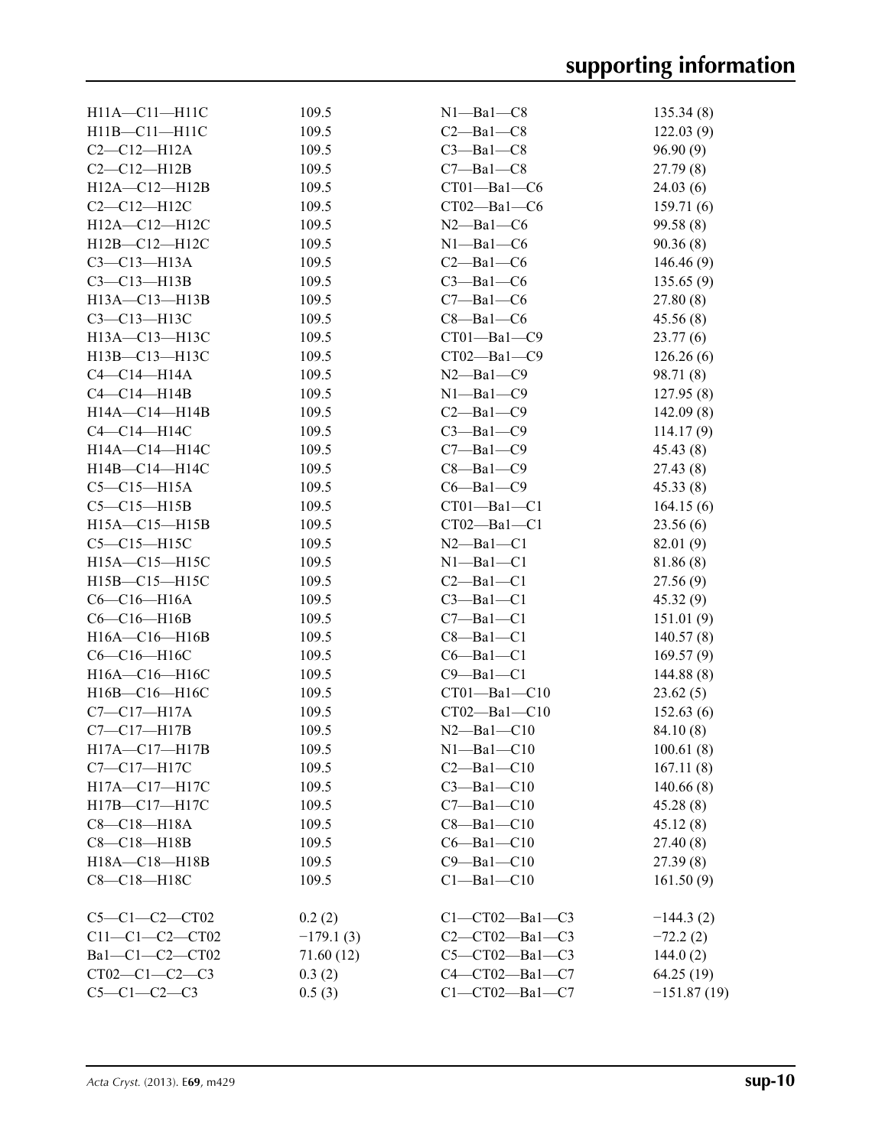| $H11A - C11 - H11C$ | 109.5       | $N1 - Ba1 - C8$        | 135.34(8)     |
|---------------------|-------------|------------------------|---------------|
| H11B-C11-H11C       | 109.5       | $C2 - Ba1 - C8$        | 122.03(9)     |
| $C2-C12-H12A$       | 109.5       | $C3 - Ba1 - C8$        | 96.90(9)      |
| $C2-C12-H12B$       | 109.5       | $C7 - Ba1 - C8$        | 27.79(8)      |
| H12A-C12-H12B       | 109.5       | $CT01 - Ba1 - C6$      | 24.03(6)      |
| $C2-C12-H12C$       | 109.5       | $CT02 - Ba1 - C6$      | 159.71(6)     |
| H12A-C12-H12C       | 109.5       | $N2$ —Bal—C6           | 99.58 (8)     |
| $H12B - C12 - H12C$ | 109.5       | $N1 - Ba1 - C6$        | 90.36(8)      |
| $C3-C13-H13A$       | 109.5       | $C2$ —Bal—C6           | 146.46(9)     |
| $C3-C13-H13B$       | 109.5       | $C3 - Ba1 - C6$        | 135.65(9)     |
| H13A-C13-H13B       | 109.5       | $C7 - Ba1 - C6$        | 27.80(8)      |
| $C3-C13-H13C$       | 109.5       | $C8 - Ba1 - C6$        | 45.56(8)      |
| H13A-C13-H13C       | 109.5       | $CT01 - Ba1 - C9$      | 23.77(6)      |
| H13B-C13-H13C       | 109.5       | $CT02 - Ba1 - C9$      | 126.26(6)     |
| $C4-C14-H14A$       | 109.5       | $N2$ —Bal—C9           | 98.71 (8)     |
| $C4-C14-H14B$       | 109.5       | $N1 - Ba1 - C9$        | 127.95(8)     |
|                     |             |                        |               |
| H14A-C14-H14B       | 109.5       | $C2$ —Bal—C9           | 142.09(8)     |
| $C4-C14-H14C$       | 109.5       | $C3 - Ba1 - C9$        | 114.17(9)     |
| $H14A - C14 - H14C$ | 109.5       | $C7 - Ba1 - C9$        | 45.43(8)      |
| $H14B - C14 - H14C$ | 109.5       | $C8 - Ba1 - C9$        | 27.43(8)      |
| $C5-C15-H15A$       | 109.5       | $C6 - Ba1 - C9$        | 45.33(8)      |
| $C5-C15-H15B$       | 109.5       | $CT01 - Ba1 - C1$      | 164.15(6)     |
| $H15A - C15 - H15B$ | 109.5       | $CT02 - Ba1 - C1$      | 23.56(6)      |
| $C5-C15-H15C$       | 109.5       | $N2 - Ba1 - C1$        | 82.01 (9)     |
| H15A-C15-H15C       | 109.5       | $N1 - Ba1 - C1$        | 81.86 (8)     |
| H15B-C15-H15C       | 109.5       | $C2 - Ba1 - C1$        | 27.56(9)      |
| $C6-C16-H16A$       | 109.5       | $C3 - Ba1 - C1$        | 45.32(9)      |
| $C6-C16-H16B$       | 109.5       | $C7 - Ba1 - C1$        | 151.01(9)     |
| H16A-C16-H16B       | 109.5       | $C8 - Ba1 - C1$        | 140.57(8)     |
| C6-C16-H16C         | 109.5       | $C6 - Ba1 - C1$        | 169.57(9)     |
| H16A-C16-H16C       | 109.5       | $C9 - Ba1 - C1$        | 144.88(8)     |
| H16B-C16-H16C       | 109.5       | $CT01 - Ba1 - C10$     | 23.62(5)      |
| $C7 - C17 - H17A$   | 109.5       | $CT02 - Ba1 - C10$     | 152.63(6)     |
| $C7-C17-H17B$       | 109.5       | $N2$ -Bal-C10          | 84.10(8)      |
| H17A—C17—H17B       | 109.5       | $N1$ —Bal—C10          | 100.61(8)     |
| $C7 - C17 - H17C$   | 109.5       | $C2 - Ba1 - C10$       | 167.11(8)     |
| H17A-C17-H17C       | 109.5       | $C3 - Ba1 - C10$       | 140.66(8)     |
| H17B-C17-H17C       | 109.5       | $C7 - Ba1 - C10$       | 45.28(8)      |
| $C8 - C18 - H18A$   | 109.5       | $C8 - Ba1 - C10$       | 45.12(8)      |
| $C8 - C18 - H18B$   | 109.5       | $C6 - Ba1 - C10$       | 27.40(8)      |
| H18A-C18-H18B       | 109.5       | $C9 - Ba1 - C10$       | 27.39(8)      |
| C8-C18-H18C         | 109.5       | $C1 - Ba1 - C10$       | 161.50(9)     |
|                     |             |                        |               |
| $C5-C1-C2-CT02$     | 0.2(2)      | $C1 - CT02 - Ba1 - C3$ | $-144.3(2)$   |
| $C11-C1-C2-CT02$    | $-179.1(3)$ | $C2-CT02-Ba1-C3$       | $-72.2(2)$    |
| Bal-Cl-C2-CT02      | 71.60 (12)  | $C5-CT02-Ba1-C3$       | 144.0 $(2)$   |
| $CT02-C1-C2-C3$     | 0.3(2)      | $C4-CT02-Ba1-C7$       | 64.25 (19)    |
| $C5-C1-C2-C3$       | 0.5(3)      | $C1 - CT02 - Ba1 - C7$ | $-151.87(19)$ |
|                     |             |                        |               |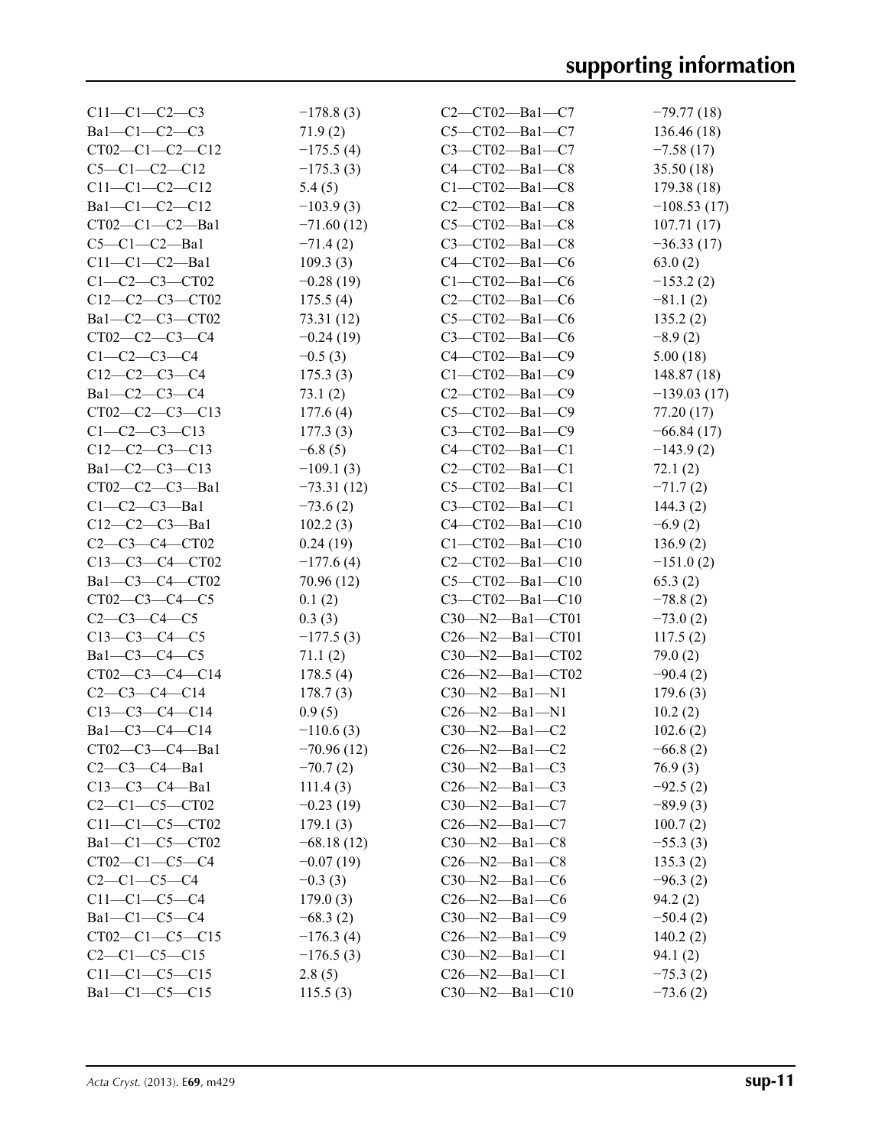| $C11-C1-C2-C3$         | $-178.8(3)$  | $C2-CT02-Ba1-C7$        | $-79.77(18)$  |
|------------------------|--------------|-------------------------|---------------|
| $Ba1-C1-C2-C3$         | 71.9(2)      | $C5-CT02-Ba1-C7$        | 136.46 (18)   |
| $CT02-C1-C2-C12$       | $-175.5(4)$  | $C3-CT02-Ba1-C7$        | $-7.58(17)$   |
| $C5-C1-C2-C12$         | $-175.3(3)$  | $C4 - CT02 - Ba1 - C8$  | 35.50(18)     |
| $C11-C1-C2-C12$        | 5.4(5)       | $C1 - CT02 - Ba1 - C8$  | 179.38(18)    |
| Bal-Cl-C2-Cl2          | $-103.9(3)$  | $C2-CT02-Ba1-C8$        | $-108.53(17)$ |
| $CT02-C1-C2-Ba1$       | $-71.60(12)$ | $C5-CT02-Ba1-C8$        | 107.71(17)    |
| $C5-C1-C2-Ba1$         | $-71.4(2)$   | $C3-CT02-Ba1-C8$        | $-36.33(17)$  |
| $C11-C1-C2-Ba1$        | 109.3(3)     | $C4-CT02-Ba1-C6$        | 63.0(2)       |
| $C1 - C2 - C3 - C$ T02 | $-0.28(19)$  | $C1 - CT02 - Ba1 - C6$  | $-153.2(2)$   |
| $C12-C2-C3-CT02$       | 175.5(4)     | $C2-CT02-Ba1-C6$        | $-81.1(2)$    |
| Bal-C2-C3-CT02         | 73.31 (12)   | $C5-CT02-Ba1-C6$        | 135.2(2)      |
| $CT02-C2-C3-C4$        | $-0.24(19)$  | $C3-CT02-Ba1-C6$        | $-8.9(2)$     |
| $C1-C2-C3-C4$          | $-0.5(3)$    | C4-CT02-Ba1-C9          | 5.00(18)      |
| $C12-C2-C3-C4$         | 175.3(3)     | $C1 - CT02 - Ba1 - C9$  | 148.87(18)    |
|                        |              |                         |               |
| $Ba1-C2-C3-C4$         | 73.1(2)      | $C2 - C102 - Ba1 - C9$  | $-139.03(17)$ |
| $CT02-C2-C3-C13$       | 177.6(4)     | $C5-CT02-Ba1-C9$        | 77.20 (17)    |
| $C1 - C2 - C3 - C13$   | 177.3(3)     | C3-CT02-Ba1-C9          | $-66.84(17)$  |
| $C12-C2-C3-C13$        | $-6.8(5)$    | $C4-CT02-Ba1-C1$        | $-143.9(2)$   |
| $Ba1-C2-C3-C13$        | $-109.1(3)$  | $C2 - C102 - Ba1 - C1$  | 72.1(2)       |
| $CT02-C2-C3-Ba1$       | $-73.31(12)$ | $C5 - C T02 - Ba1 - C1$ | $-71.7(2)$    |
| $C1-C2-C3$ -Bal        | $-73.6(2)$   | $C3 - C102 - Ba1 - C1$  | 144.3(2)      |
| $C12-C2-C3 - Ba1$      | 102.2(3)     | $C4 - CT02 - Ba1 - C10$ | $-6.9(2)$     |
| $C2 - C3 - C4 - C702$  | 0.24(19)     | $C1 - CT02 - Ba1 - C10$ | 136.9(2)      |
| $C13-C3-C4-CT02$       | $-177.6(4)$  | $C2 - C102 - Ba1 - C10$ | $-151.0(2)$   |
| Ba1-C3-C4-CT02         | 70.96 (12)   | $C5 - C102 - Ba1 - C10$ | 65.3(2)       |
| $CT02-C3-C4-C5$        | 0.1(2)       | $C3 - C102 - Ba1 - C10$ | $-78.8(2)$    |
| $C2-C3-C4-C5$          | 0.3(3)       | C30-N2-Ba1-CT01         | $-73.0(2)$    |
| $C13-C3-C4-C5$         | $-177.5(3)$  | $C26 - N2 - Ba1 - CT01$ | 117.5(2)      |
| $Ba1-C3-C4-C5$         | 71.1(2)      | $C30 - N2 - Ba1 - CT02$ | 79.0(2)       |
| CT02-C3-C4-C14         | 178.5(4)     | $C26 - N2 - Ba1 - CT02$ | $-90.4(2)$    |
| $C2-C3-C4-C14$         | 178.7(3)     | $C30 - N2 - Ba1 - N1$   | 179.6(3)      |
| $C13-C3-C4-C14$        | 0.9(5)       | $C26 - N2 - Ba1 - N1$   | 10.2(2)       |
| Bal-C3-C4-C14          | $-110.6(3)$  | $C30 - N2 - Ba1 - C2$   | 102.6(2)      |
| $CT02-C3-C4-Ba1$       | $-70.96(12)$ | $C26 - N2 - Ba1 - C2$   | $-66.8(2)$    |
| $C2-C3-C4-Ba1$         | $-70.7(2)$   | $C30 - N2 - Ba1 - C3$   | 76.9(3)       |
| $C13-C3-C4-Ba1$        | 111.4(3)     | $C26 - N2 - Ba1 - C3$   | $-92.5(2)$    |
| $C2-C1-C5-CT02$        | $-0.23(19)$  | $C30 - N2 - Ba1 - C7$   | $-89.9(3)$    |
| $C11-C1-C5-CT02$       | 179.1(3)     | $C26 - N2 - Ba1 - C7$   | 100.7(2)      |
| Ba1-C1-C5-CT02         | $-68.18(12)$ | $C30 - N2 - Ba1 - C8$   | $-55.3(3)$    |
| $CT02-C1-C5-C4$        | $-0.07(19)$  | $C26 - N2 - Ba1 - C8$   | 135.3(2)      |
| $C2-C1-C5-C4$          | $-0.3(3)$    | $C30 - N2 - Ba1 - C6$   | $-96.3(2)$    |
| $C11-C1-C5-C4$         | 179.0(3)     | $C26 - N2 - Ba1 - C6$   | 94.2(2)       |
| $Ba1-C1-C5-C4$         | $-68.3(2)$   | $C30 - N2 - Ba1 - C9$   | $-50.4(2)$    |
| $CT02-C1-C5-C15$       | $-176.3(4)$  | $C26 - N2 - Ba1 - C9$   | 140.2(2)      |
| $C2-C1-C5-C15$         | $-176.5(3)$  | $C30 - N2 - Ba1 - C1$   | 94.1(2)       |
| $C11-C1-C5-C15$        | 2.8(5)       | $C26 - N2 - Ba1 - C1$   | $-75.3(2)$    |
| Bal-Cl-C5-Cl5          | 115.5(3)     | $C30 - N2 - Ba1 - C10$  | $-73.6(2)$    |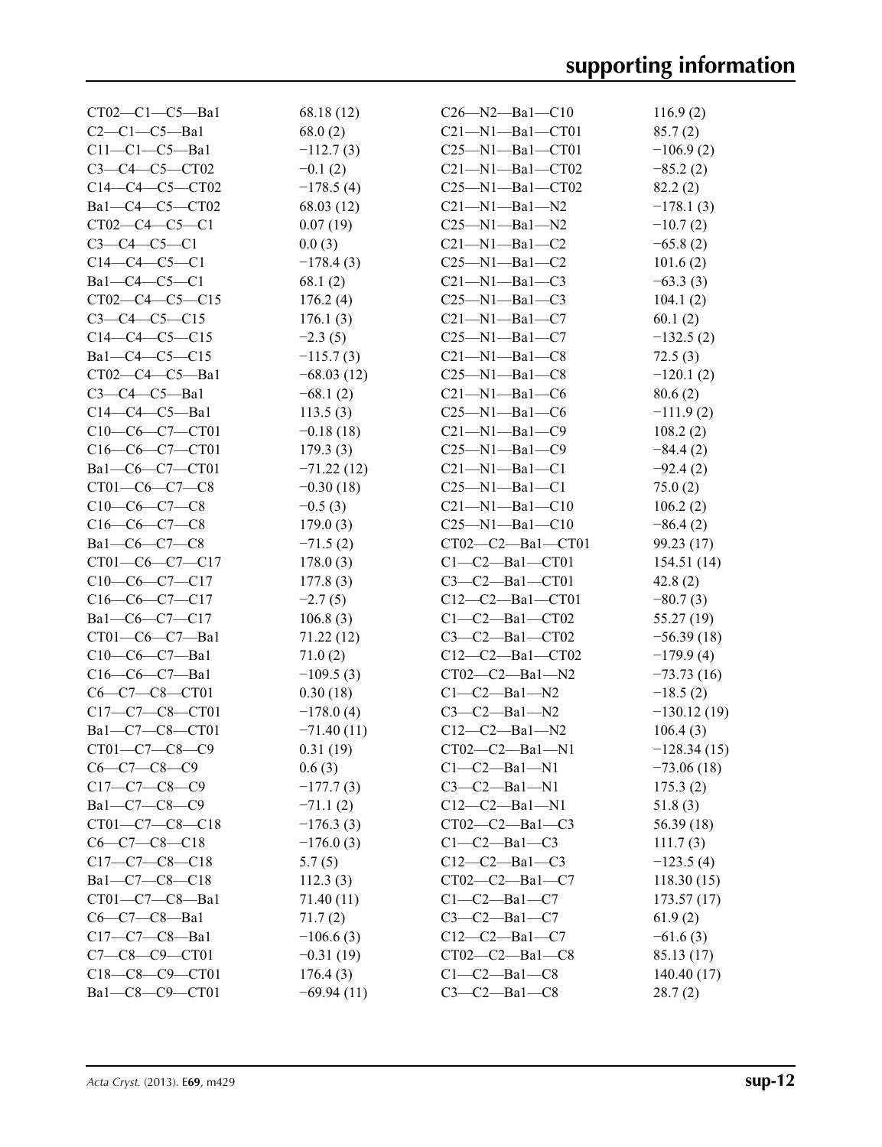| $CT02-C1-C5-Ba1$      | 68.18 (12)   | $C26 - N2 - Ba1 - C10$  | 116.9(2)      |
|-----------------------|--------------|-------------------------|---------------|
| $C2-C1-C5-Ba1$        | 68.0(2)      | $C21-M1-Ba1-CT01$       | 85.7(2)       |
| $C11-C1-C5-Ba1$       | $-112.7(3)$  | $C25 - N1 - Ba1 - C701$ | $-106.9(2)$   |
| $C3 - C4 - C5 - C102$ | $-0.1(2)$    | $C21 - N1 - Ba1 - CT02$ | $-85.2(2)$    |
| $C14-C4-C5-CT02$      | $-178.5(4)$  | $C25-M1-Ba1-CT02$       | 82.2(2)       |
| $Ba1-C4-C5-CT02$      | 68.03 (12)   | $C21-M1-Ba1-N2$         | $-178.1(3)$   |
| $CT02-C4-C5-C1$       | 0.07(19)     | $C25 - N1 - Ba1 - N2$   | $-10.7(2)$    |
| $C3-C4-C5-C1$         | 0.0(3)       | $C21-M1-Ba1-C2$         | $-65.8(2)$    |
| $C14-C4-C5-C1$        | $-178.4(3)$  | $C25-M1-Ba1-C2$         | 101.6(2)      |
| $Ba1-C4-C5-C1$        | 68.1(2)      | $C21-M1-Ba1-C3$         | $-63.3(3)$    |
| $CT02-C4-C5-C15$      | 176.2(4)     | $C25-M1-Ba1-C3$         | 104.1(2)      |
| $C3-C4-C5-C15$        | 176.1(3)     | $C21 - N1 - Ba1 - C7$   | 60.1(2)       |
| $C14-C4-C5-C15$       | $-2.3(5)$    | $C25-M1-Ba1-C7$         | $-132.5(2)$   |
| $Ba1-C4-C5-C15$       | $-115.7(3)$  | $C21-M1-Ba1-C8$         | 72.5(3)       |
| $CT02-C4-C5-Ba1$      | $-68.03(12)$ | $C25-M1-Ba1-C8$         | $-120.1(2)$   |
| $C3-C4-C5-Ba1$        | $-68.1(2)$   | $C21-M1-Ba1-C6$         | 80.6(2)       |
| $C14-C4-C5-Ba1$       | 113.5(3)     | $C25 - N1 - Ba1 - C6$   | $-111.9(2)$   |
| C10-C6-C7-CT01        |              |                         |               |
|                       | $-0.18(18)$  | $C21-M1-Ba1-C9$         | 108.2(2)      |
| C16-C6-C7-CT01        | 179.3(3)     | $C25-M1-Ba1-C9$         | $-84.4(2)$    |
| Ba1-C6-C7-CT01        | $-71.22(12)$ | $C21 - N1 - Ba1 - C1$   | $-92.4(2)$    |
| $CT01-C6-C7-C8$       | $-0.30(18)$  | $C25-M1-Ba1-C1$         | 75.0(2)       |
| $C10-C6-C7-C8$        | $-0.5(3)$    | $C21 - N1 - Ba1 - C10$  | 106.2(2)      |
| $C16-C6-C7-C8$        | 179.0(3)     | $C25-M1-Ba1-C10$        | $-86.4(2)$    |
| $Ba1-C6-C7-C8$        | $-71.5(2)$   | $CT02-C2-Ba1-CT01$      | 99.23 (17)    |
| $CT01-C6-C7-C17$      | 178.0(3)     | $C1-C2$ —Bal—CT01       | 154.51 (14)   |
| $C10-C6-C7-C17$       | 177.8(3)     | $C3-C2-Ba1-CT01$        | 42.8(2)       |
| $C16-C6-C7-C17$       | $-2.7(5)$    | $C12-C2$ —Bal—CT01      | $-80.7(3)$    |
| $Ba1-C6-C7-C17$       | 106.8(3)     | $C1-C2$ —Ba $1$ —CT02   | 55.27 (19)    |
| $CT01-C6-C7-Ba1$      | 71.22(12)    | $C3-C2-Ba1-CT02$        | $-56.39(18)$  |
| $C10-C6-C7-Ba1$       | 71.0(2)      | $C12-C2$ —Bal—CT02      | $-179.9(4)$   |
| $C16-C6-C7-Ba1$       | $-109.5(3)$  | $CT02-C2$ -Ba1-N2       | $-73.73(16)$  |
| C6-C7-C8-CT01         | 0.30(18)     | $C1-C2$ —Ba $1$ —N2     | $-18.5(2)$    |
| $C17-C7-C8-CT01$      | $-178.0(4)$  | $C3-C2$ -Bal-N2         | $-130.12(19)$ |
| Ba1-C7-C8-CT01        | $-71.40(11)$ | $C12-C2 - Ba1 - N2$     | 106.4(3)      |
| $CT01 - C7 - C8 - C9$ | 0.31(19)     | $CT02-C2-Ba1-N1$        | $-128.34(15)$ |
| $C6-C7-C8-C9$         | 0.6(3)       | $C1-C2-Ba1-N1$          | $-73.06(18)$  |
| $C17-C7-C8-C9$        | $-177.7(3)$  | $C3-C2$ -Bal-N1         | 175.3(2)      |
| $Ba1-C7-C8-C9$        | $-71.1(2)$   | $C12-C2 - Ba1 - N1$     | 51.8(3)       |
| CT01-C7-C8-C18        | $-176.3(3)$  | $CT02-C2-Ba1-C3$        | 56.39 (18)    |
| $C6-C7-C8-C18$        | $-176.0(3)$  | $C1-C2-Ba1-C3$          | 111.7(3)      |
| $C17-C7-C8-C18$       | 5.7(5)       | $C12-C2-Ba1-C3$         | $-123.5(4)$   |
| $Ba1-C7-C8-C18$       | 112.3(3)     | $CT02-C2-Ba1-C7$        | 118.30(15)    |
| $CT01-C7-C8-Ba1$      | 71.40 (11)   | $C1-C2$ —Ba $1-C7$      | 173.57(17)    |
| $C6-C7-C8-Ba1$        | 71.7(2)      | $C3-C2$ —Bal—C7         | 61.9(2)       |
| $C17-C7-C8-Ba1$       | $-106.6(3)$  | $C12-C2-Ba1-C7$         | $-61.6(3)$    |
| $C7 - C8 - C9 - C701$ | $-0.31(19)$  | $CT02-C2-Ba1-C8$        | 85.13 (17)    |
| $C18-C8-C9-CT01$      | 176.4(3)     | $C1-C2$ —Ba $1-C8$      | 140.40(17)    |
| Bal-C8-C9-CT01        | $-69.94(11)$ | $C3-C2-Ba1-C8$          | 28.7(2)       |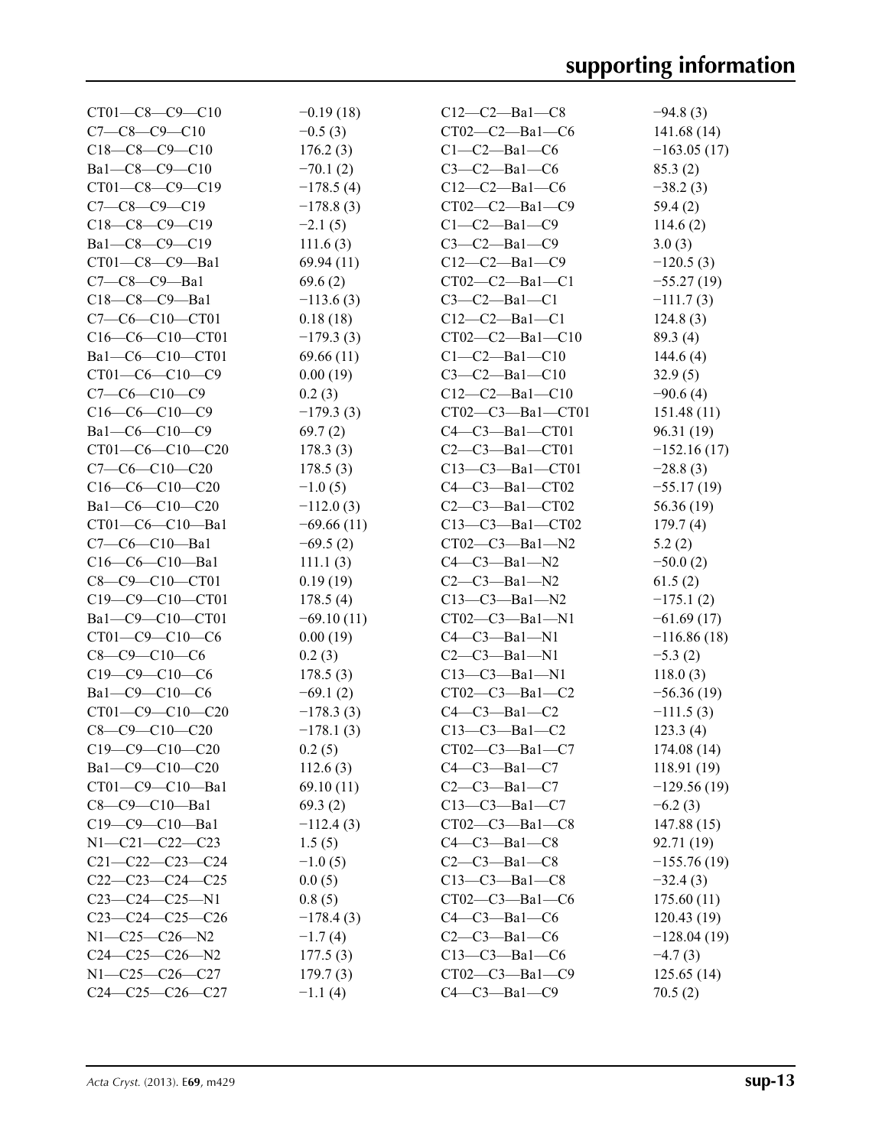| $CT01 - C8 - C9 - C10$  | $-0.19(18)$  | $C12-C2$ —Bal—C8      | $-94.8(3)$    |
|-------------------------|--------------|-----------------------|---------------|
| $C7 - C8 - C9 - C10$    | $-0.5(3)$    | $CT02-C2$ -Bal-C6     | 141.68 (14)   |
| $C18-C8-C9-C10$         | 176.2(3)     | $C1-C2$ —Ba $1$ —C6   | $-163.05(17)$ |
| Bal-C8-C9-C10           | $-70.1(2)$   | $C3-C2-Ba1-C6$        | 85.3(2)       |
| $CT01 - C8 - C9 - C19$  | $-178.5(4)$  | $C12-C2-Ba1-C6$       | $-38.2(3)$    |
| $C7-C8-C9-C19$          | $-178.8(3)$  | $CT02-C2$ —Ba1—C9     | 59.4(2)       |
| $C18-C8-C9-C19$         | $-2.1(5)$    | $C1-C2$ —Ba $1$ —C9   | 114.6(2)      |
| Ba1-C8-C9-C19           | 111.6(3)     | $C3-C2-Ba1-C9$        | 3.0(3)        |
| CT01-C8-C9-Ba1          | 69.94(11)    | $C12-C2$ -Bal-C9      | $-120.5(3)$   |
| $C7-C8-C9-Ba1$          | 69.6(2)      | $CT02-C2$ —Bal—C1     | $-55.27(19)$  |
| $C18-C8-C9-Ba1$         | $-113.6(3)$  | $C3-C2-Ba1-C1$        | $-111.7(3)$   |
| C7-C6-C10-CT01          | 0.18(18)     | $C12-C2-Ba1-C1$       | 124.8(3)      |
| C16-C6-C10-CT01         | $-179.3(3)$  | $CT02-C2 - Ba1 - C10$ | 89.3 (4)      |
| Ba1-C6-C10-CT01         | 69.66(11)    | $C1-C2-Ba1-C10$       | 144.6 $(4)$   |
| $CT01-C6-C10-C9$        | 0.00(19)     | $C3-C2-Ba1-C10$       | 32.9(5)       |
| $C7-C6-C10-C9$          | 0.2(3)       | $C12-C2 - Ba1 - C10$  | $-90.6(4)$    |
| $C16-C6-C10-C9$         | $-179.3(3)$  | CT02-C3-Ba1-CT01      | 151.48(11)    |
| $Ba1-C6-C10-C9$         | 69.7(2)      | $C4-C3-Ba1-CT01$      | 96.31(19)     |
| $CT01-C6-C10-C20$       | 178.3(3)     | $C2-C3$ —Bal—CT01     | $-152.16(17)$ |
| $C7-C6-C10-C20$         | 178.5(3)     | $C13-C3$ —Bal—CT01    | $-28.8(3)$    |
| $C16-C6-C10-C20$        | $-1.0(5)$    | $C4-C3$ —Bal—CT02     | $-55.17(19)$  |
| Bal-C6-C10-C20          | $-112.0(3)$  | $C2-C3$ —Bal—CT02     | 56.36 (19)    |
| CT01-C6-C10-Ba1         | $-69.66(11)$ | $C13-C3$ —Bal—CT02    | 179.7(4)      |
| $C7-C6-C10-Ba1$         | $-69.5(2)$   | $CT02-C3-Ba1-N2$      | 5.2(2)        |
| $C16-C6-C10-Ba1$        | 111.1(3)     | $C4-C3-Ba1-N2$        | $-50.0(2)$    |
| C8-C9-C10-CT01          | 0.19(19)     | $C2-C3$ —Bal—N2       | 61.5(2)       |
| $C19 - C9 - C10 - C701$ | 178.5(4)     | $C13-C3$ —Bal—N2      | $-175.1(2)$   |
| Ba1-C9-C10-CT01         | $-69.10(11)$ | $CT02-C3$ -Bal-N1     | $-61.69(17)$  |
| CT01-C9-C10-C6          | 0.00(19)     | $C4-C3-Ba1-N1$        | $-116.86(18)$ |
| $C8-C9-C10-C6$          | 0.2(3)       | $C2-C3$ —Bal—N1       | $-5.3(2)$     |
| $C19-C9-C10-C6$         | 178.5(3)     | $C13-C3 - Ba1 - N1$   | 118.0(3)      |
| Bal-C9-C10-C6           | $-69.1(2)$   | $CT02-C3-Ba1-C2$      | $-56.36(19)$  |
| $CT01 - C9 - C10 - C20$ | $-178.3(3)$  | $C4-C3-Ba1-C2$        | $-111.5(3)$   |
| $C8-C9-C10-C20$         | $-178.1(3)$  | $C13-C3 - Ba1 - C2$   | 123.3(4)      |
| $C19-C9-C10-C20$        | 0.2(5)       | $CT02-C3-Ba1-C7$      | 174.08(14)    |
| Ba1-C9-C10-C20          | 112.6(3)     | $C4-C3-Ba1-C7$        | 118.91(19)    |
| CT01-C9-C10-Ba1         | 69.10(11)    | $C2-C3$ —Bal—C7       | $-129.56(19)$ |
| $C8-C9-C10-Ba1$         | 69.3(2)      | $C13-C3-Ba1-C7$       | $-6.2(3)$     |
| $C19-C9-C10-Ba1$        | $-112.4(3)$  | CT02-C3-Bal-C8        | 147.88(15)    |
| $N1 - C21 - C22 - C23$  | 1.5(5)       | $C4-C3-Ba1-C8$        | 92.71 (19)    |
| $C21 - C22 - C23 - C24$ | $-1.0(5)$    | $C2-C3-Ba1-C8$        | $-155.76(19)$ |
| $C22-C23-C24-C25$       | 0.0(5)       | $C13-C3 - Ba1 - C8$   | $-32.4(3)$    |
| $C23-C24-C25-N1$        | 0.8(5)       | $CT02-C3-Ba1-C6$      | 175.60(11)    |
| $C23-C24-C25-C26$       | $-178.4(3)$  | $C4-C3-Ba1-C6$        | 120.43(19)    |
| $N1 - C25 - C26 - N2$   | $-1.7(4)$    | $C2-C3$ -Bal- $C6$    | $-128.04(19)$ |
| $C24-C25-C26-N2$        | 177.5(3)     | $C13-C3$ -Bal-C6      | $-4.7(3)$     |
| N1-C25-C26-C27          | 179.7(3)     | $CT02-C3 - Ba1-C9$    | 125.65(14)    |
| $C24-C25-C26-C27$       | $-1.1(4)$    | $C4-C3-Ba1-C9$        | 70.5(2)       |
|                         |              |                       |               |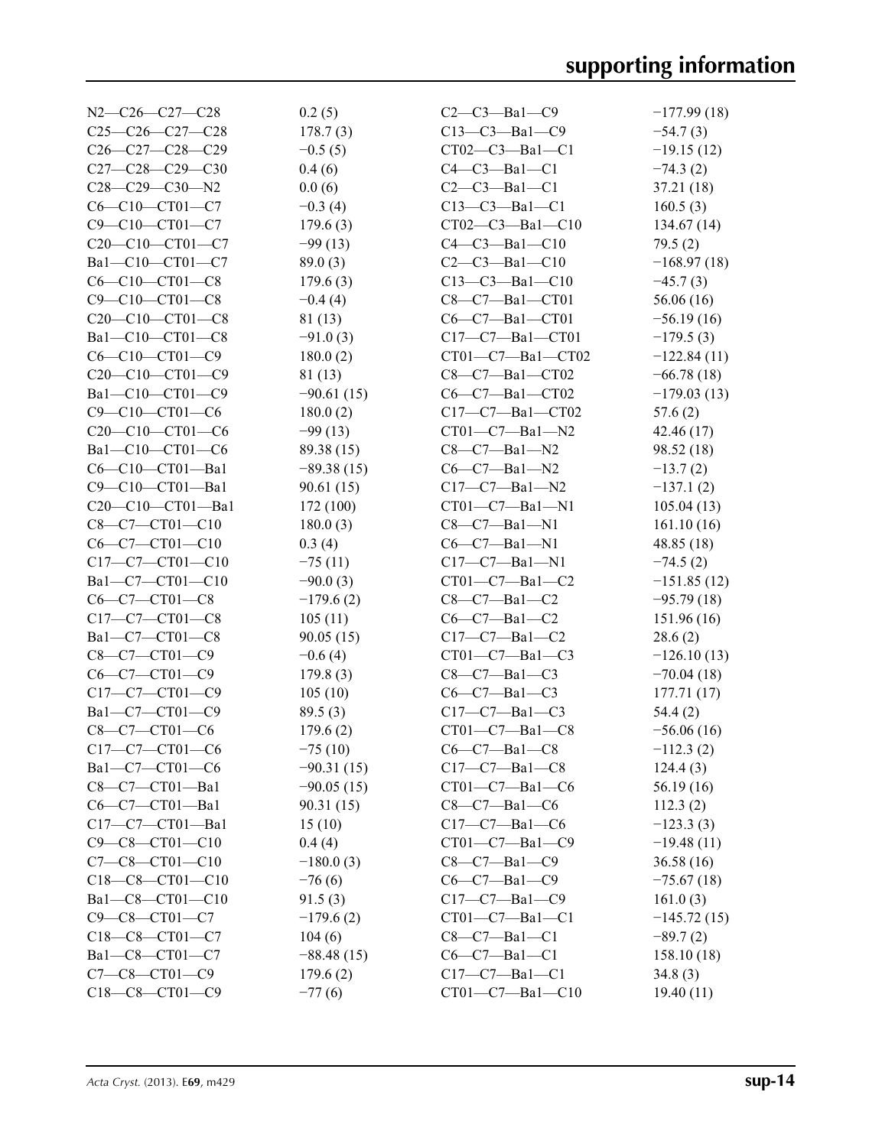| $N2-C26-C27-C28$                                                   | 0.2(5)       | $C2-C3-Ba1-C9$          | $-177.99(18)$ |
|--------------------------------------------------------------------|--------------|-------------------------|---------------|
| $C25-C26-C27-C28$                                                  | 178.7(3)     | $C13-C3 - Ba1 - C9$     | $-54.7(3)$    |
| C26-C27-C28-C29                                                    | $-0.5(5)$    | $CT02-C3 - Ba1 - C1$    | $-19.15(12)$  |
| $C27-C28-C29-C30$                                                  | 0.4(6)       | $C4-C3-Ba1-C1$          | $-74.3(2)$    |
| $C28-C29-C30-N2$                                                   | 0.0(6)       | $C2-C3$ -Bal-C1         | 37.21 (18)    |
| $C6 - C10 - C701 - C7$                                             | $-0.3(4)$    | $C13-C3-Ba1-C1$         | 160.5(3)      |
| C9-C10-CT01-C7                                                     | 179.6(3)     | $CT02-C3 - Ba1 - C10$   | 134.67(14)    |
| C20-C10-CT01-C7                                                    | $-99(13)$    | $C4 - C3 - Ba1 - C10$   | 79.5(2)       |
| Bal-C10-CT01-C7                                                    | 89.0(3)      | $C2-C3$ —Bal—C10        | $-168.97(18)$ |
| $C6 - C10 - C101 - C8$                                             | 179.6(3)     | $C13-C3 - Ba1 - C10$    | $-45.7(3)$    |
| C9-C10-CT01-C8                                                     | $-0.4(4)$    | $C8-C7-Ba1-CT01$        | 56.06(16)     |
| C <sub>20</sub> -C <sub>10</sub> -C <sub>T01</sub> -C <sub>8</sub> | 81 (13)      | $C6-C7-Ba1-CT01$        | $-56.19(16)$  |
| Ba1-C10-CT01-C8                                                    | $-91.0(3)$   | $C17-C7$ —Bal—CT01      | $-179.5(3)$   |
| $C6 - C10 - C101 - C9$                                             | 180.0(2)     | $CT01-C7 - Ba1-CT02$    | $-122.84(11)$ |
| C <sub>20</sub> -C <sub>10</sub> -C <sub>T01</sub> -C <sub>9</sub> | 81 (13)      | $C8-C7-Ba1-CT02$        | $-66.78(18)$  |
| Bal-C10-CT01-C9                                                    | $-90.61(15)$ | $C6-C7-Ba1-CT02$        | $-179.03(13)$ |
| $C9 - C10 - C101 - C6$                                             | 180.0(2)     | $C17-C7$ —Bal—CT02      | 57.6(2)       |
| C20-C10-CT01-C6                                                    | $-99(13)$    | $CT01-C7 - Ba1 - N2$    | 42.46 (17)    |
| Ba1-C10-CT01-C6                                                    | 89.38 (15)   | $C8-C7-Ba1-N2$          | 98.52 (18)    |
| C6-C10-CT01-Ba1                                                    | $-89.38(15)$ | $C6-C7-Ba1-N2$          | $-13.7(2)$    |
| $C9-C10-CT01-Ba1$                                                  | 90.61(15)    | $C17-C7$ —Bal—N2        | $-137.1(2)$   |
| $C20-C10-CT01-Ba1$                                                 | 172 (100)    | $CT01-C7 - Ba1 - N1$    | 105.04(13)    |
| $C8-C7-CT01-C10$                                                   | 180.0(3)     | $C8-C7-Ba1-N1$          | 161.10(16)    |
| $C6-C7-CT01-C10$                                                   | 0.3(4)       | $C6-C7-Ba1-N1$          | 48.85(18)     |
| C17-C7-CT01-C10                                                    | $-75(11)$    | $C17-C7 - Ba1 - N1$     | $-74.5(2)$    |
| Ba1-C7-CT01-C10                                                    | $-90.0(3)$   | $CT01-C7 - Ba1-C2$      | $-151.85(12)$ |
| $C6 - C7 - C701 - C8$                                              | $-179.6(2)$  | $C8-C7-Ba1-C2$          | $-95.79(18)$  |
| $C17-C7-CT01-C8$                                                   | 105(11)      | $C6-C7-Ba1-C2$          | 151.96(16)    |
| Ba1-C7-CT01-C8                                                     | 90.05(15)    | $C17-C7$ —Bal—C2        | 28.6(2)       |
| $C8-C7-CT01-C9$                                                    | $-0.6(4)$    | $CT01-C7 - Ba1-C3$      | $-126.10(13)$ |
| $C6-C7-CT01-C9$                                                    | 179.8(3)     | $C8-C7-Ba1-C3$          | $-70.04(18)$  |
| C17-C7-CT01-C9                                                     | 105(10)      | $C6-C7-Ba1-C3$          | 177.71(17)    |
| Bal-C7-CT01-C9                                                     | 89.5(3)      | $C17-C7-Ba1-C3$         | 54.4(2)       |
| $C8 - C7 - C$ T01- $C6$                                            | 179.6(2)     | $CT01-C7 - Ba1-C8$      | $-56.06(16)$  |
| $C17-C7-CT01-C6$                                                   | $-75(10)$    | $C6-C7-Ba1-C8$          | $-112.3(2)$   |
| Ba1-C7-CT01-C6                                                     | $-90.31(15)$ | $C17-C7$ —Bal—C8        | 124.4(3)      |
| $C8-C7-CT01-Ba1$                                                   | $-90.05(15)$ | $CT01-C7—Ba1—C6$        | 56.19(16)     |
| C6-C7-CT01-Ba1                                                     | 90.31(15)    | $C8-C7-Ba1-C6$          | 112.3(2)      |
| $C17-C7-CT01-Ba1$                                                  | 15(10)       | $C17-C7$ —Bal—C6        | $-123.3(3)$   |
| $C9 - C8 - C101 - C10$                                             | 0.4(4)       | $CT01-C7 - Ba1-C9$      | $-19.48(11)$  |
| $C7 - C8 - C101 - C10$                                             | $-180.0(3)$  | $C8-C7-Ba1-C9$          | 36.58(16)     |
| $C18-C8-CT01-C10$                                                  | $-76(6)$     | $C6-C7-Ba1-C9$          | $-75.67(18)$  |
| Bal-C8-CT01-C10                                                    | 91.5(3)      | $C17-C7-Ba1-C9$         | 161.0(3)      |
| C9-C8-CT01-C7                                                      | $-179.6(2)$  | $CT01-C7—Ba1—C1$        | $-145.72(15)$ |
| C18-C8-CT01-C7                                                     | 104(6)       | $C8-C7-Ba1-C1$          | $-89.7(2)$    |
| Ba1-C8-CT01-C7                                                     | $-88.48(15)$ | $C6-C7-Ba1-C1$          | 158.10(18)    |
| C7-C8-CT01-C9                                                      | 179.6(2)     | $C17-C7-Ba1-C1$         | 34.8(3)       |
| C18-C8-CT01-C9                                                     | $-77(6)$     | $CT01 - C7 - Ba1 - C10$ | 19.40(11)     |
|                                                                    |              |                         |               |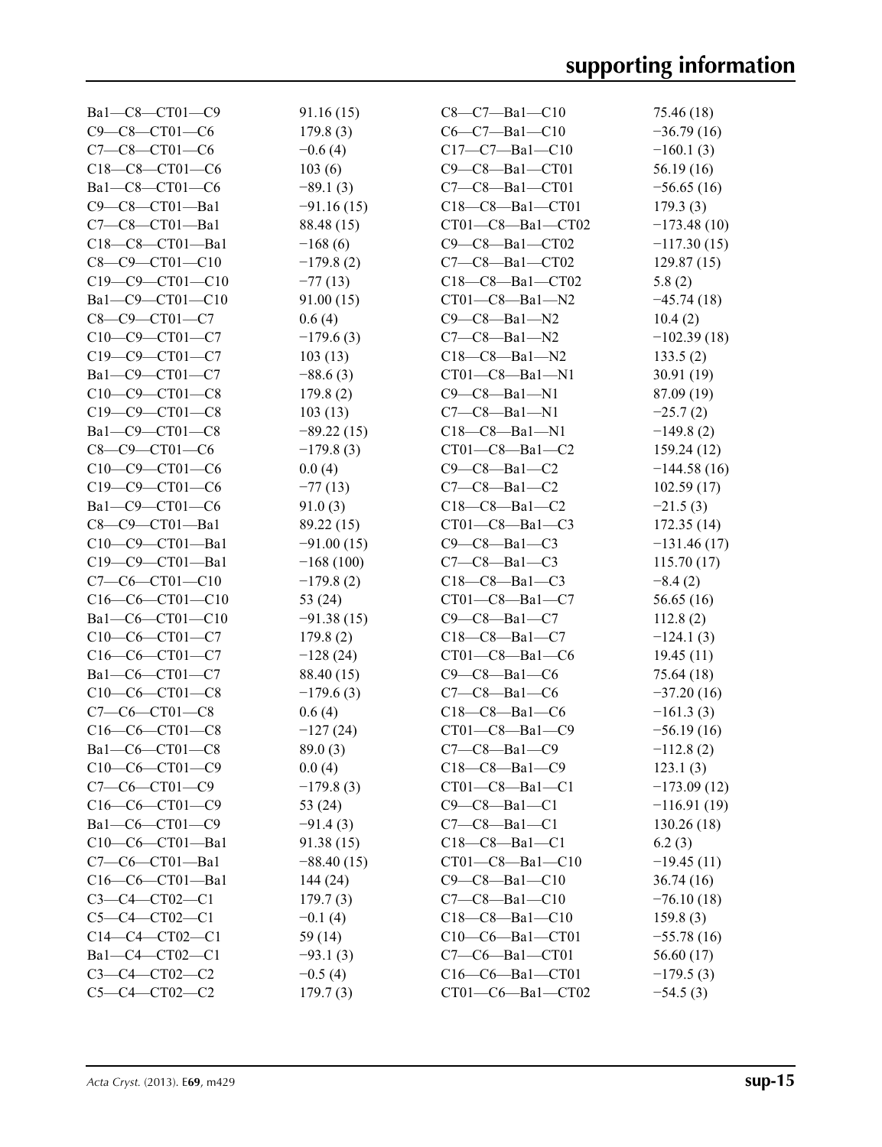| Bal-C8-CT01-C9          | 91.16(15)    | $C8-C7-Ba1-C10$         | 75.46 (18)    |
|-------------------------|--------------|-------------------------|---------------|
| C9-C8-CT01-C6           | 179.8(3)     | $C6-C7-Ba1-C10$         | $-36.79(16)$  |
| $C7 - C8 - C101 - C6$   | $-0.6(4)$    | $C17-C7 - Ba1 - C10$    | $-160.1(3)$   |
| C18-C8-CT01-C6          | 103(6)       | C9-C8-Ba1-CT01          | 56.19(16)     |
| Ba1-C8-CT01-C6          | $-89.1(3)$   | $C7-C8-Ba1-CT01$        | $-56.65(16)$  |
| C9-C8-CT01-Ba1          | $-91.16(15)$ | $C18-C8 - Ba1 - C701$   | 179.3(3)      |
| $C7 - C8 - CTO1 - Ba1$  | 88.48 (15)   | $CT01-C8-Ba1-CT02$      | $-173.48(10)$ |
| $C18-C8-CT01-Ba1$       | $-168(6)$    | $C9-C8-Ba1-CT02$        | $-117.30(15)$ |
| $C8 - C9 - C101 - C10$  | $-179.8(2)$  | C7-C8-Ba1-CT02          | 129.87(15)    |
| $C19 - C9 - C101 - C10$ | $-77(13)$    | $C18-C8$ —Bal—CT02      | 5.8(2)        |
| Ba1-C9-CT01-C10         | 91.00(15)    | $CT01-C8 - Ba1 - N2$    | $-45.74(18)$  |
| $C8 - C9 - C701 - C7$   | 0.6(4)       | $C9-C8-Ba1-N2$          | 10.4(2)       |
| C10-C9-CT01-C7          | $-179.6(3)$  | $C7-C8-Ba1-N2$          | $-102.39(18)$ |
| C19-C9-CT01-C7          | 103(13)      | $C18-C8 - Ba1 - N2$     | 133.5(2)      |
| Ba1-C9-CT01-C7          | $-88.6(3)$   | $CT01-C8-Ba1-N1$        | 30.91(19)     |
| $C10-C9-CT01-C8$        | 179.8(2)     | $C9-C8-Ba1-N1$          | 87.09 (19)    |
| C19-C9-CT01-C8          | 103(13)      | $C7-C8-Ba1-N1$          | $-25.7(2)$    |
| Bal-C9-CT01-C8          | $-89.22(15)$ | $C18-C8 - Ba1 - N1$     | $-149.8(2)$   |
| $C8 - C9 - C701 - C6$   | $-179.8(3)$  | $CT01-C8 - Ba1-C2$      | 159.24(12)    |
| $C10-C9-CT01-C6$        | 0.0(4)       | $C9-C8-Ba1-C2$          | $-144.58(16)$ |
| C19-C9-CT01-C6          | $-77(13)$    | $C7-C8-Ba1-C2$          | 102.59(17)    |
| Bal-C9-CT01-C6          | 91.0(3)      | $C18-C8-Ba1-C2$         | $-21.5(3)$    |
| $C8 - C9 - CTO1 - Ba1$  | 89.22 (15)   | $CT01-C8-Ba1-C3$        | 172.35(14)    |
| $C10-C9-CT01-Ba1$       | $-91.00(15)$ | $C9-C8-Ba1-C3$          | $-131.46(17)$ |
| C19-C9-CT01-Ba1         | $-168(100)$  | $C7-C8-Ba1-C3$          |               |
| $C7-C6-CT01-C10$        | $-179.8(2)$  | $C18-C8-Ba1-C3$         | 115.70(17)    |
| $C16-C6-CT01-C10$       |              | $CT01-C8 - Ba1-C7$      | $-8.4(2)$     |
| Bal-C6-CT01-C10         | 53(24)       |                         | 56.65(16)     |
|                         | $-91.38(15)$ | $C9-C8-Ba1-C7$          | 112.8(2)      |
| $C10-C6-CT01-C7$        | 179.8(2)     | $C18-C8-Ba1-C7$         | $-124.1(3)$   |
| $C16-C6-CT01-C7$        | $-128(24)$   | $CT01-C8 - Ba1-C6$      | 19.45(11)     |
| Bal-C6-CT01-C7          | 88.40 (15)   | $C9-C8-Ba1-C6$          | 75.64 (18)    |
| $C10-C6-CT01-C8$        | $-179.6(3)$  | $C7-C8-Ba1-C6$          | $-37.20(16)$  |
| $C7-C6-CT01-C8$         | 0.6(4)       | $C18-C8-Ba1-C6$         | $-161.3(3)$   |
| C16-C6-CT01-C8          | $-127(24)$   | CT01-C8-Ba1-C9          | $-56.19(16)$  |
| Ba1-C6-CT01-C8          | 89.0(3)      | $C7-C8-Ba1-C9$          | $-112.8(2)$   |
| C10-C6-CT01-C9          | 0.0(4)       | $C18-C8 - Ba1 - C9$     | 123.1(3)      |
| $C7-C6-CT01-C9$         | $-179.8(3)$  | $CT01-C8 - Ba1 - C1$    | $-173.09(12)$ |
| $C16-C6-CT01-C9$        | 53 (24)      | $C9-C8-Ba1-C1$          | $-116.91(19)$ |
| Bal-C6-CT01-C9          | $-91.4(3)$   | $C7-C8-Ba1-C1$          | 130.26(18)    |
| $C10-C6-CT01-Ba1$       | 91.38(15)    | $C18-C8-Ba1-C1$         | 6.2(3)        |
| $C7-C6-CT01-Ba1$        | $-88.40(15)$ | $CT01 - C8 - Ba1 - C10$ | $-19.45(11)$  |
| $C16-C6-CT01-Ba1$       | 144(24)      | $C9-C8-Ba1-C10$         | 36.74(16)     |
| $C3 - C4 - C102 - C1$   | 179.7(3)     | $C7 - C8 - Ba1 - C10$   | $-76.10(18)$  |
| $C5 - C4 - C102 - C1$   | $-0.1(4)$    | $C18-C8 - Ba1 - C10$    | 159.8(3)      |
| $C14-C4-CT02-C1$        | 59 (14)      | C10-C6-Ba1-CT01         | $-55.78(16)$  |
| Ba1-C4-CT02-C1          | $-93.1(3)$   | $C7-C6$ -Bal-CT01       | 56.60(17)     |
| $C3 - C4 - C102 - C2$   | $-0.5(4)$    | $C16-C6-Ba1-CT01$       | $-179.5(3)$   |
| $C5 - C4 - C T02 - C2$  | 179.7(3)     | CT01-C6-Ba1-CT02        | $-54.5(3)$    |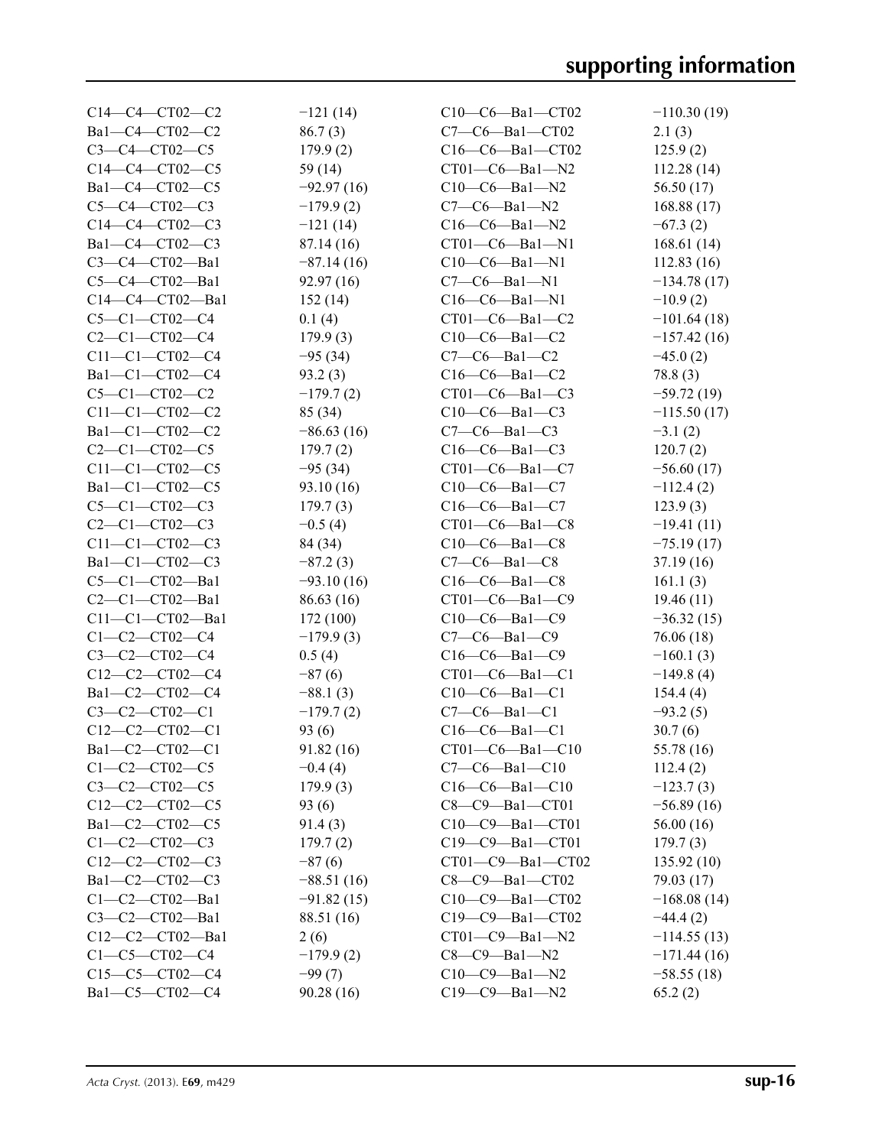| $C14-C4-CT02-C2$        | $-121(14)$   | $C10-C6-Ba1-CT02$     | $-110.30(19)$ |
|-------------------------|--------------|-----------------------|---------------|
| Ba1-C4-CT02-C2          | 86.7(3)      | $C7-C6$ -Bal-CT02     | 2.1(3)        |
| $C3 - C4 - C102 - C5$   | 179.9(2)     | $C16-C6-Ba1-CT02$     | 125.9(2)      |
| $C14-C4-CT02-C5$        | 59 $(14)$    | $CT01-C6-Ba1-N2$      | 112.28 (14)   |
| Ba1-C4-CT02-C5          | $-92.97(16)$ | $C10-C6-Ba1-N2$       | 56.50 (17)    |
| $C5 - C4 - C102 - C3$   | $-179.9(2)$  | $C7-C6$ —Bal—N2       | 168.88(17)    |
| $C14-C4-CT02-C3$        | $-121(14)$   | $C16-C6-Ba1-N2$       | $-67.3(2)$    |
| Ba1-C4-CT02-C3          | 87.14 (16)   | $CT01-C6-Ba1-N1$      | 168.61(14)    |
| $C3-C4-CT02-Ba1$        | $-87.14(16)$ | $C10-C6-Ba1-N1$       | 112.83(16)    |
| $C5-C4-CT02-Ba1$        | 92.97(16)    | $C7-C6-Ba1-N1$        | $-134.78(17)$ |
| C14-C4-CT02-Ba1         | 152(14)      | $C16-C6-Ba1-N1$       | $-10.9(2)$    |
| $C5 - C1 - C102 - C4$   | 0.1(4)       | $CT01-C6-Ba1-C2$      | $-101.64(18)$ |
| $C2 - C1 - C$ T02- $C4$ | 179.9(3)     | $C10-C6-Ba1-C2$       | $-157.42(16)$ |
| $C11-C1-CT02-C4$        | $-95(34)$    | $C7-C6-Ba1-C2$        | $-45.0(2)$    |
| Bal-Cl-CT02-C4          | 93.2(3)      | $C16-C6-Ba1-C2$       | 78.8 (3)      |
| $C5 - C1 - C102 - C2$   | $-179.7(2)$  | $CT01-C6-Ba1-C3$      | $-59.72(19)$  |
| $C11 - C1 - C102 - C2$  | 85 (34)      | $C10-C6-Ba1-C3$       | $-115.50(17)$ |
| Ba1-C1-CT02-C2          | $-86.63(16)$ | $C7-C6-Ba1-C3$        | $-3.1(2)$     |
| $C2 - C1 - C102 - C5$   | 179.7(2)     | $C16-C6-Ba1-C3$       | 120.7(2)      |
| $C11 - C1 - C102 - C5$  | $-95(34)$    | $CT01-C6-Ba1-C7$      | $-56.60(17)$  |
| Bal-Cl-CT02-C5          |              |                       |               |
| $C5 - C1 - C$ T02-C3    | 93.10(16)    | $C10-C6-Ba1-C7$       | $-112.4(2)$   |
|                         | 179.7(3)     | $C16-C6-Ba1-C7$       | 123.9(3)      |
| $C2-C1-CT02-C3$         | $-0.5(4)$    | $CT01-C6-Ba1-C8$      | $-19.41(11)$  |
| $C11 - C1 - C102 - C3$  | 84 (34)      | $C10-C6-Ba1-C8$       | $-75.19(17)$  |
| Bal-Cl-CT02-C3          | $-87.2(3)$   | $C7-C6-Ba1-C8$        | 37.19(16)     |
| $C5-C1-CT02-Ba1$        | $-93.10(16)$ | $C16-C6-Ba1-C8$       | 161.1(3)      |
| $C2 - C1 - CTO2 - Ba1$  | 86.63(16)    | $CT01-C6-Ba1-C9$      | 19.46(11)     |
| $C11-C1-CT02-Ba1$       | 172 (100)    | $C10-C6-Ba1-C9$       | $-36.32(15)$  |
| $C1 - C2 - C102 - C4$   | $-179.9(3)$  | $C7-C6-Ba1-C9$        | 76.06 (18)    |
| $C3 - C2 - C102 - C4$   | 0.5(4)       | $C16-C6-Ba1-C9$       | $-160.1(3)$   |
| $C12-C2-CT02-C4$        | $-87(6)$     | $CT01-C6-Ba1-C1$      | $-149.8(4)$   |
| Ba1-C2-CT02-C4          | $-88.1(3)$   | $C10-C6-Ba1-C1$       | 154.4(4)      |
| $C3 - C2 - C102 - C1$   | $-179.7(2)$  | $C7-C6-Ba1-C1$        | $-93.2(5)$    |
| $C12-C2-CT02-C1$        | 93 (6)       | $C16-C6-Ba1-C1$       | 30.7(6)       |
| Ba1-C2-CT02-C1          | 91.82 (16)   | $CT01-C6-Ba1-C10$     | 55.78 (16)    |
| $C1 - C2 - C102 - C5$   | $-0.4(4)$    | $C7-C6-Ba1-C10$       | 112.4(2)      |
| $C3 - C2 - C102 - C5$   | 179.9(3)     | $C16-C6-Ba1-C10$      | $-123.7(3)$   |
| $C12-C2-CT02-C5$        | 93(6)        | $C8-C9-Ba1-CT01$      | $-56.89(16)$  |
| Ba1-C2-CT02-C5          | 91.4(3)      | $C10-C9-Ba1-CT01$     | 56.00 (16)    |
| $C1 - C2 - C102 - C3$   | 179.7(2)     | C19-C9-Ba1-CT01       | 179.7(3)      |
| $C12-C2-CT02-C3$        | $-87(6)$     | CT01-C9-Ba1-CT02      | 135.92(10)    |
| Ba1-C2-CT02-C3          | $-88.51(16)$ | $C8-C9-Ba1-CT02$      | 79.03 (17)    |
| $C1-C2-CT02-Ba1$        | $-91.82(15)$ | C10-C9-Ba1-CT02       | $-168.08(14)$ |
| $C3 - C2 - C102 - Ba1$  | 88.51 (16)   | $C19-C9-Ba1-CT02$     | $-44.4(2)$    |
| C12-C2-CT02-Ba1         | 2(6)         | $CT01-C9 - Ba1 - N2$  | $-114.55(13)$ |
| $C1 - C5 - C102 - C4$   | $-179.9(2)$  | $C8-C9-Ba1-N2$        | $-171.44(16)$ |
| $C15-C5-CT02-C4$        | $-99(7)$     | $C10-C9-Ba1-N2$       | $-58.55(18)$  |
| Ba1-C5-CT02-C4          | 90.28(16)    | $C19 - C9 - Ba1 - N2$ | 65.2(2)       |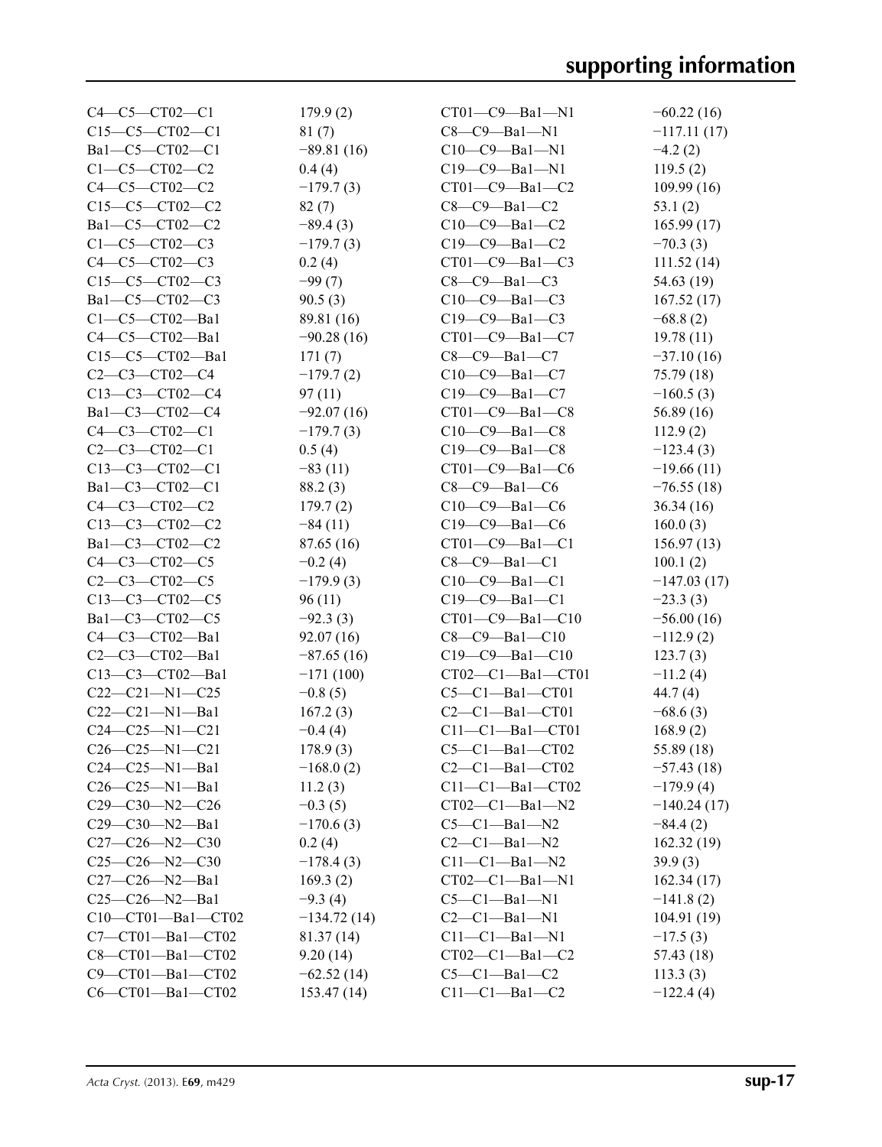| $C4 - C5 - C102 - C1$    | 179.9(2)      | $CT01-C9-Ba1-N1$        | $-60.22(16)$  |
|--------------------------|---------------|-------------------------|---------------|
| $C15-C5-CT02-C1$         | 81(7)         | $C8-C9-Ba1-N1$          | $-117.11(17)$ |
| Bal-C5-CT02-C1           | $-89.81(16)$  | $C10-C9 - Ba1 - N1$     | $-4.2(2)$     |
| $C1 - C5 - C102 - C2$    | 0.4(4)        | $C19 - C9 - Ba1 - N1$   | 119.5(2)      |
| $C4 - C5 - C102 - C2$    | $-179.7(3)$   | $CT01-C9 - Ba1-C2$      | 109.99(16)    |
| $C15-C5-CT02-C2$         | 82(7)         | $C8-C9-Ba1-C2$          | 53.1(2)       |
| Ba1-C5-CT02-C2           | $-89.4(3)$    | $C10-C9 - Ba1 - C2$     | 165.99(17)    |
| $C1 - C5 - C102 - C3$    | $-179.7(3)$   | C19-C9-Ba1-C2           | $-70.3(3)$    |
| $C4 - C5 - C T02 - C3$   | 0.2(4)        | $CT01-C9 - Ba1-C3$      | 111.52(14)    |
| $C15-C5-CT02-C3$         | $-99(7)$      | $C8-C9-Ba1-C3$          | 54.63 (19)    |
| Bal-C5-CT02-C3           | 90.5(3)       | $C10-C9 - Ba1 - C3$     | 167.52(17)    |
| $C1-C5-CT02-Ba1$         | 89.81 (16)    | $C19-C9-Ba1-C3$         | $-68.8(2)$    |
| C4-C5-CT02-Ba1           | $-90.28(16)$  | $CT01-C9 - Ba1-C7$      | 19.78(11)     |
| $C15-C5-CT02-Ba1$        | 171(7)        | $C8-C9-Ba1-C7$          | $-37.10(16)$  |
| $C2 - C3 - C102 - C4$    | $-179.7(2)$   | $C10-C9-Ba1-C7$         | 75.79 (18)    |
| $C13-C3-CT02-C4$         | 97(11)        | $C19-C9-Ba1-C7$         | $-160.5(3)$   |
| Ba1-C3-CT02-C4           | $-92.07(16)$  | $CT01-C9 - Ba1-C8$      | 56.89(16)     |
| $C4 - C3 - C102 - C1$    | $-179.7(3)$   | $C10-C9 - Ba1 - C8$     | 112.9(2)      |
| $C2 - C3 - C102 - C1$    | 0.5(4)        | $C19-C9-Ba1-C8$         | $-123.4(3)$   |
| $C13-C3-CT02-C1$         | $-83(11)$     | $CT01-C9 - Ba1-C6$      | $-19.66(11)$  |
| Ba1-C3-CT02-C1           | 88.2(3)       | $C8-C9-Ba1-C6$          | $-76.55(18)$  |
| $C4 - C3 - C102 - C2$    |               |                         |               |
|                          | 179.7(2)      | $C10-C9-Ba1-C6$         | 36.34(16)     |
| $C13-C3-CT02-C2$         | $-84(11)$     | $C19-C9-Ba1-C6$         | 160.0(3)      |
| Ba1-C3-CT02-C2           | 87.65(16)     | $CT01-C9 - Ba1-C1$      | 156.97(13)    |
| $C4 - C3 - C102 - C5$    | $-0.2(4)$     | $C8-C9-Ba1-C1$          | 100.1(2)      |
| $C2 - C3 - C102 - C5$    | $-179.9(3)$   | $C10-C9 - Ba1 - C1$     | $-147.03(17)$ |
| $C13-C3-CT02-C5$         | 96(11)        | $C19 - C9 - Ba1 - C1$   | $-23.3(3)$    |
| Ba1-C3-CT02-C5           | $-92.3(3)$    | $CT01 - C9 - Ba1 - C10$ | $-56.00(16)$  |
| C4-C3-CT02-Ba1           | 92.07(16)     | $C8-C9-Ba1-C10$         | $-112.9(2)$   |
| $C2-C3-CT02-Ba1$         | $-87.65(16)$  | $C19 - C9 - Ba1 - C10$  | 123.7(3)      |
| C13-C3-CT02-Ba1          | $-171(100)$   | $CT02-C1-Ba1-CT01$      | $-11.2(4)$    |
| $C22-C21-N1-C25$         | $-0.8(5)$     | $C5-C1-Ba1-CT01$        | 44.7 (4)      |
| $C22-C21-M1-Ba1$         | 167.2(3)      | $C2-C1-Ba1-CT01$        | $-68.6(3)$    |
| $C24-C25-N1-C21$         | $-0.4(4)$     | $C11-C1-Ba1-CT01$       | 168.9(2)      |
| $C26-C25-N1-C21$         | 178.9(3)      | $C5-C1-Ba1-CT02$        | 55.89 (18)    |
| $C24-C25-N1-Ba1$         | $-168.0(2)$   | $C2-C1-Ba1-CT02$        | $-57.43(18)$  |
| $C26-C25-N1-Ba1$         | 11.2(3)       | $C11-C1-Ba1-CT02$       | $-179.9(4)$   |
| $C29-C30-N2-C26$         | $-0.3(5)$     | $CT02-C1-Ba1-N2$        | $-140.24(17)$ |
| $C29-C30-N2-Ba1$         | $-170.6(3)$   | $C5-C1-Ba1-N2$          | $-84.4(2)$    |
| C27-C26-N2-C30           | 0.2(4)        | $C2-C1-Ba1-N2$          | 162.32(19)    |
| $C25-C26-N2-C30$         | $-178.4(3)$   | $C11 - C1 - Ba1 - N2$   | 39.9(3)       |
| $C27-C26-N2-Ba1$         | 169.3(2)      | $CT02-C1-Ba1-N1$        | 162.34(17)    |
| $C25-C26-N2-Ba1$         | $-9.3(4)$     | $C5-C1-Ba1-N1$          | $-141.8(2)$   |
| $C10-CT01-Ba1-CT02$      | $-134.72(14)$ | $C2-C1-Ba1-N1$          | 104.91(19)    |
| C7-CT01-Ba1-CT02         | 81.37(14)     | $C11 - C1 - Ba1 - N1$   | $-17.5(3)$    |
| $C8 - CTO1 - Ba1 - CTO2$ | 9.20(14)      | $CT02-C1-Ba1-C2$        | 57.43 (18)    |
| C9-CT01-Ba1-CT02         | $-62.52(14)$  | $C5-C1-Ba1-C2$          | 113.3(3)      |
| C6-CT01-Ba1-CT02         | 153.47(14)    | $C11-C1-Ba1-C2$         | $-122.4(4)$   |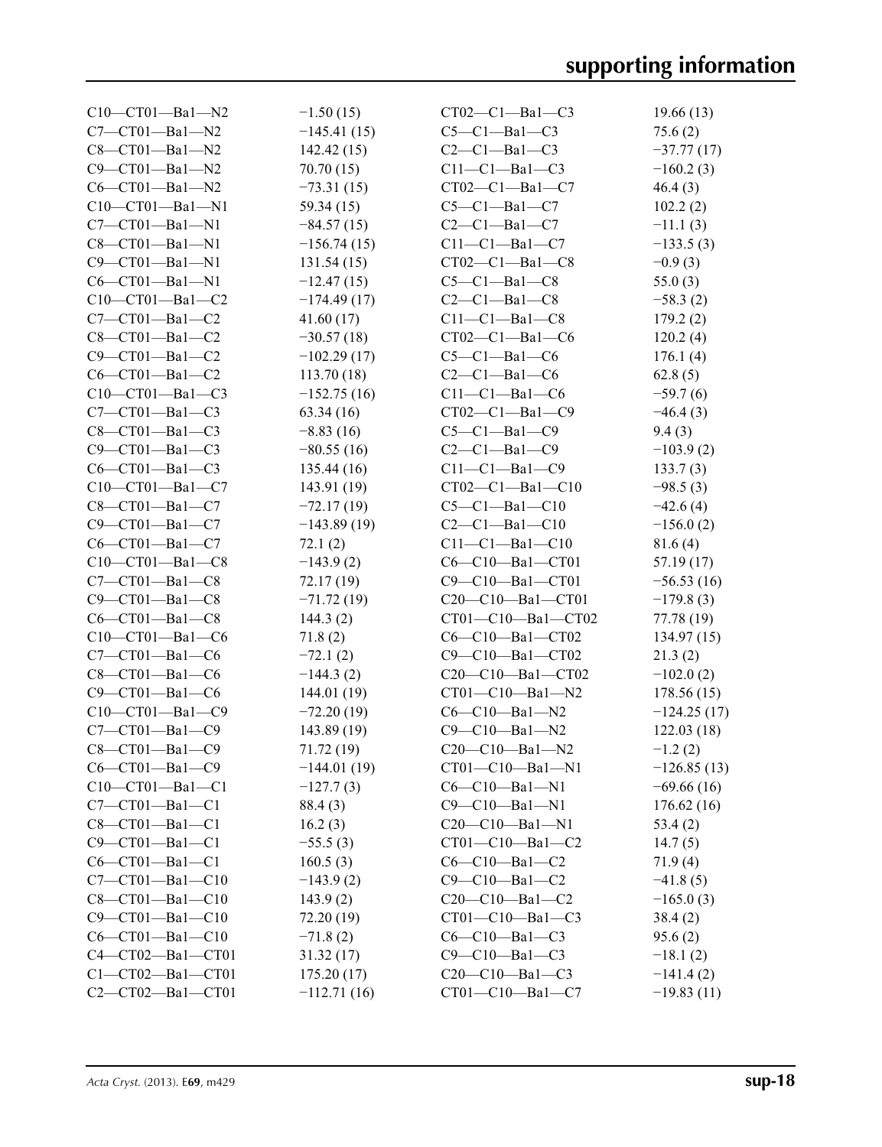| C10-CT01-Ba1-N2                  | $-1.50(15)$                 | $CT02-C1-Ba1-C3$        | 19.66(13)     |
|----------------------------------|-----------------------------|-------------------------|---------------|
| $C7-CT01-Ba1-N2$                 | $-145.41(15)$               | $C5-C1-Ba1-C3$          | 75.6(2)       |
| $C8 - C T01 - Ba1 - N2$          | 142.42(15)                  | $C2-C1-Ba1-C3$          | $-37.77(17)$  |
| $C9 - C T01 - Ba1 - N2$          | 70.70 (15)                  | $C11-C1-Ba1-C3$         | $-160.2(3)$   |
| $C6-CT01-Ba1-N2$                 | $-73.31(15)$                | $CT02-C1-Ba1-C7$        | 46.4(3)       |
| $C10-CT01-Ba1-N1$                | 59.34 (15)                  | $C5-C1-Ba1-C7$          | 102.2(2)      |
| $C7-CT01-Ba1-N1$                 | $-84.57(15)$                | $C2-C1-Ba1-C7$          | $-11.1(3)$    |
| $C8$ — $C$ T $01$ —Ba $1$ —N $1$ | $-156.74(15)$               | $C11-C1-Ba1-C7$         | $-133.5(3)$   |
| C9-CT01-Ba1-N1                   | 131.54(15)                  | $CT02-C1-Ba1-C8$        | $-0.9(3)$     |
| $C6 - C$ T01 $-Ba1 - N1$         | $-12.47(15)$                | $C5-C1-Ba1-C8$          | 55.0(3)       |
| $C10-CT01-Ba1-C2$                | $-174.49(17)$               | $C2-C1-Ba1-C8$          | $-58.3(2)$    |
| $C7-CT01-Ba1-C2$                 | 41.60(17)                   | $C11-C1-Ba1-C8$         | 179.2(2)      |
| $C8 - C$ T01 $-Ba1 - C2$         | $-30.57(18)$                | $CT02-C1-Ba1-C6$        | 120.2(4)      |
| $C9 - C$ T01-Ba1-C2              | $-102.29(17)$               | $C5-C1-Ba1-C6$          | 176.1(4)      |
| $C6-CT01-Ba1-C2$                 | 113.70(18)                  | $C2-C1-Ba1-C6$          | 62.8(5)       |
| $C10-CT01-Ba1-C3$                | $-152.75(16)$               | $C11-C1-Ba1-C6$         | $-59.7(6)$    |
| $C7-CT01-Ba1-C3$                 | 63.34(16)                   | $CT02-C1-Ba1-C9$        | $-46.4(3)$    |
| $C8 - C$ T01 $-Ba1 - C3$         | $-8.83(16)$                 | $C5-C1-Ba1-C9$          | 9.4(3)        |
| $C9 - CT01 - Ba1 - C3$           | $-80.55(16)$                | $C2-C1-Ba1-C9$          | $-103.9(2)$   |
| $C6-CT01-Ba1-C3$                 | 135.44(16)                  | $C11-C1-Ba1-C9$         | 133.7(3)      |
| C10-CT01-Ba1-C7                  | 143.91 (19)                 | $CT02-C1-Ba1-C10$       | $-98.5(3)$    |
| $C8 - C$ T01 $-Ba1 - C7$         | $-72.17(19)$                | $C5-C1-Ba1-C10$         | $-42.6(4)$    |
| $C9 - C$ T01-Ba1-C7              | $-143.89(19)$               | $C2-C1-Ba1-C10$         | $-156.0(2)$   |
| $C6-CT01-Ba1-C7$                 | 72.1(2)                     | $C11 - C1 - Ba1 - C10$  | 81.6(4)       |
| $C10-CT01-Ba1-C8$                | $-143.9(2)$                 | C6-C10-Ba1-CT01         | 57.19 (17)    |
| $C7-CT01-Ba1-C8$                 | 72.17 (19)                  | C9-C10-Ba1-CT01         | $-56.53(16)$  |
| $C9 - C$ T01-Ba1- $C8$           | $-71.72(19)$                | $C20-C10-Ba1-CT01$      | $-179.8(3)$   |
| $C6-CT01-Ba1-C8$                 | 144.3(2)                    | $CT01-C10-Ba1-CT02$     | 77.78 (19)    |
| $C10-CT01-Ba1-C6$                | 71.8(2)                     | $C6-C10-Ba1-CT02$       | 134.97(15)    |
| $C7-CT01-Ba1-C6$                 | $-72.1(2)$                  | $C9 - C10 - Ba1 - CT02$ | 21.3(2)       |
| $C8-CT01-Ba1-C6$                 |                             | $C20-C10-Ba1-CT02$      | $-102.0(2)$   |
| $C9 - C$ T01-Ba1- $C6$           | $-144.3(2)$                 | CT01-C10-Ba1-N2         | 178.56(15)    |
|                                  | 144.01(19)                  | $C6 - C10 - Ba1 - N2$   |               |
| $C10-CT01-Ba1-C9$                | $-72.20(19)$<br>143.89 (19) | $C9 - C10 - Ba1 - N2$   | $-124.25(17)$ |
| $C7-CT01-Ba1-C9$                 |                             |                         | 122.03(18)    |
| $C8-CT01-Ba1-C9$                 | 71.72 (19)                  | $C20-C10-Ba1-N2$        | $-1.2(2)$     |
| $C6-CT01-Ba1-C9$                 | $-144.01(19)$               | $CT01-C10-Ba1-N1$       | $-126.85(13)$ |
| $C10-CT01-Ba1-C1$                | $-127.7(3)$                 | $C6 - C10 - Ba1 - N1$   | $-69.66(16)$  |
| $C7-CT01-Ba1-C1$                 | 88.4 (3)                    | $C9 - C10 - Ba1 - N1$   | 176.62(16)    |
| $C8 - C T01 - Ba1 - C1$          | 16.2(3)                     | $C20-C10-Ba1-N1$        | 53.4(2)       |
| $C9 - C$ T01 $-Ba1 - C1$         | $-55.5(3)$                  | $CT01 - C10 - Ba1 - C2$ | 14.7(5)       |
| $C6-CT01-Ba1-C1$                 | 160.5(3)                    | $C6-C10-Ba1-C2$         | 71.9(4)       |
| $C7-CT01-Ba1-C10$                | $-143.9(2)$                 | $C9 - C10 - Ba1 - C2$   | $-41.8(5)$    |
| $C8 - C T01 - Ba1 - C10$         | 143.9(2)                    | $C20-C10-Ba1-C2$        | $-165.0(3)$   |
| $C9 - CTO1 - Ba1 - C10$          | 72.20 (19)                  | $CT01-C10-Ba1-C3$       | 38.4(2)       |
| $C6-CT01-Ba1-C10$                | $-71.8(2)$                  | $C6-C10-Ba1-C3$         | 95.6(2)       |
| C4-CT02-Ba1-CT01                 | 31.32(17)                   | $C9 - C10 - Ba1 - C3$   | $-18.1(2)$    |
| $C1 - CT02 - Ba1 - CT01$         | 175.20(17)                  | $C20-C10-Ba1-C3$        | $-141.4(2)$   |
| C2-CT02-Ba1-CT01                 | $-112.71(16)$               | $CT01 - C10 - Ba1 - C7$ | $-19.83(11)$  |